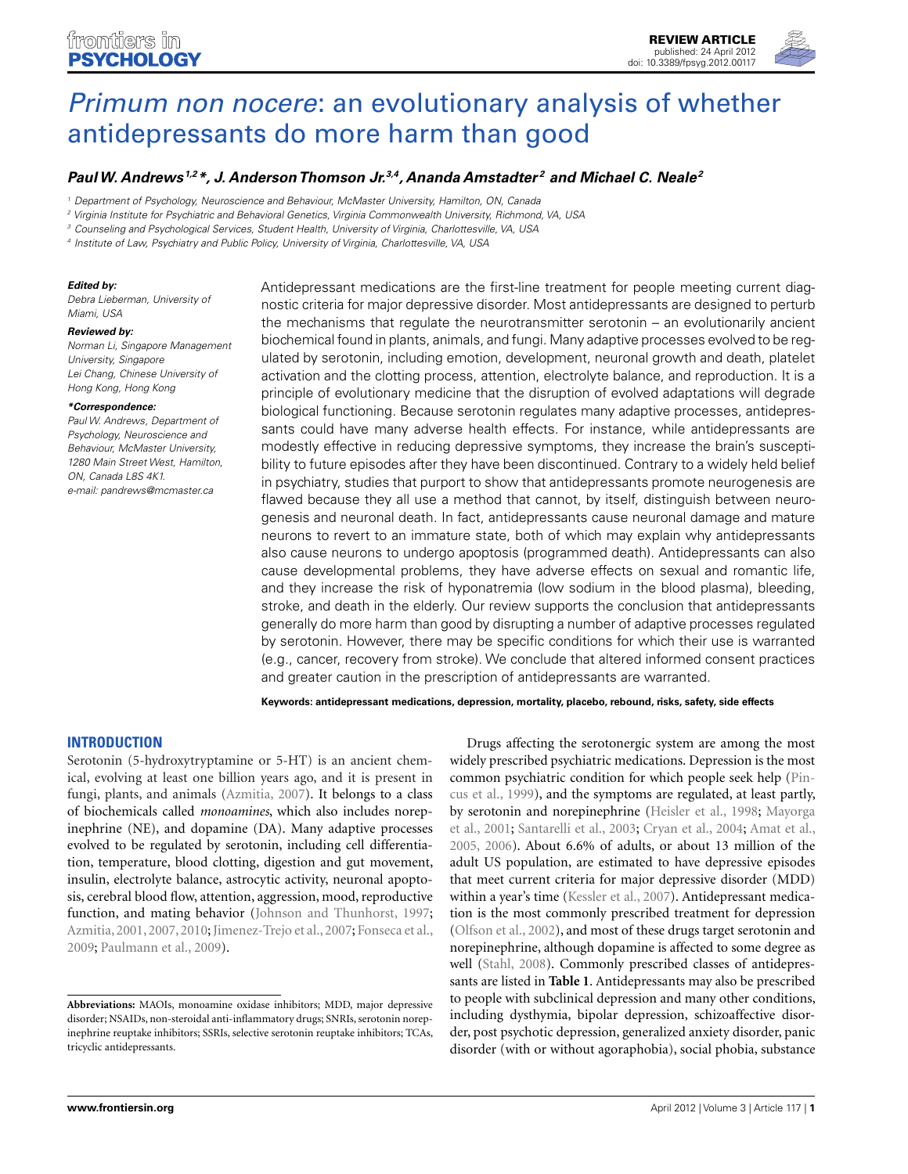**[REVIEW ARTICLE](http://www.frontiersin.org/Psychology/editorialboard)** [published: 24 April 2012](http://www.frontiersin.org/Psychology/editorialboard) [doi: 10.3389/fpsyg.2012.00117](http://www.frontiersin.org/Psychology/editorialboard)



# Primum non nocere: an evolutionary analysis of whether [antidepressants do more harm than good](http://www.frontiersin.org/Evolutionary_Psychology/10.3389/fpsyg.2012.00117/abstract)

# *[PaulW. Andrews](http://www.frontiersin.org/Community/WhosWhoActivity.aspx?sname=PaulAndrews&UID=14386) 1,2\*, J. Anderson Thomson Jr.3,4, [Ananda Amstadter](http://www.frontiersin.org/Community/WhosWhoActivity.aspx?sname=AnandaAmstadter&UID=28522) <sup>2</sup> and [Michael C. Neale2](http://www.frontiersin.org/Community/WhosWhoActivity.aspx?sname=MichaelNeale&UID=4755)*

<sup>1</sup> Department of Psychology, Neuroscience and Behaviour, McMaster University, Hamilton, ON, Canada

<sup>2</sup> Virginia Institute for Psychiatric and Behavioral Genetics, Virginia Commonwealth University, Richmond, VA, USA

<sup>3</sup> Counseling and Psychological Services, Student Health, University of Virginia, Charlottesville, VA, USA

<sup>4</sup> Institute of Law, Psychiatry and Public Policy, University of Virginia, Charlottesville, VA, USA

#### *Edited by:*

Debra Lieberman, University of Miami, USA

#### *Reviewed by:*

Norman Li, Singapore Management University, Singapore Lei Chang, Chinese University of Hong Kong, Hong Kong

#### *\*Correspondence:*

Paul W. Andrews, Department of Psychology, Neuroscience and Behaviour, McMaster University, 1280 Main Street West, Hamilton, ON, Canada L8S 4K1. e-mail: [pandrews@mcmaster.ca](mailto:pandrews@mcmaster.ca)

Antidepressant medications are the first-line treatment for people meeting current diagnostic criteria for major depressive disorder. Most antidepressants are designed to perturb the mechanisms that regulate the neurotransmitter serotonin – an evolutionarily ancient biochemical found in plants, animals, and fungi. Many adaptive processes evolved to be regulated by serotonin, including emotion, development, neuronal growth and death, platelet activation and the clotting process, attention, electrolyte balance, and reproduction. It is a principle of evolutionary medicine that the disruption of evolved adaptations will degrade biological functioning. Because serotonin regulates many adaptive processes, antidepressants could have many adverse health effects. For instance, while antidepressants are modestly effective in reducing depressive symptoms, they increase the brain's susceptibility to future episodes after they have been discontinued. Contrary to a widely held belief in psychiatry, studies that purport to show that antidepressants promote neurogenesis are flawed because they all use a method that cannot, by itself, distinguish between neurogenesis and neuronal death. In fact, antidepressants cause neuronal damage and mature neurons to revert to an immature state, both of which may explain why antidepressants also cause neurons to undergo apoptosis (programmed death). Antidepressants can also cause developmental problems, they have adverse effects on sexual and romantic life, and they increase the risk of hyponatremia (low sodium in the blood plasma), bleeding, stroke, and death in the elderly. Our review supports the conclusion that antidepressants generally do more harm than good by disrupting a number of adaptive processes regulated by serotonin. However, there may be specific conditions for which their use is warranted (e.g., cancer, recovery from stroke). We conclude that altered informed consent practices and greater caution in the prescription of antidepressants are warranted.

**Keywords: antidepressant medications, depression, mortality, placebo, rebound, risks, safety, side effects**

### **INTRODUCTION**

Serotonin (5-hydroxytryptamine or 5-HT) is an ancient chemical, evolving at least one billion years ago, and it is present in fungi, plants, and animals [\(Azmitia](#page-13-0), [2007\)](#page-13-0). It belongs to a class of biochemicals called *monoamines*, which also includes norepinephrine (NE), and dopamine (DA). Many adaptive processes evolved to be regulated by serotonin, including cell differentiation, temperature, blood clotting, digestion and gut movement, insulin, electrolyte balance, astrocytic activity, neuronal apoptosis, cerebral blood flow, attention, aggression, mood, reproductive function, and mating behavior [\(Johnson and Thunhorst, 1997;](#page-15-0) [Azmitia](#page-13-0), [2001, 2007](#page-13-0), [2010](#page-13-0); [Jimenez-Trejo et al., 2007](#page-15-0); [Fonseca et al.,](#page-14-0) [2009;](#page-14-0) [Paulmann et al., 2009](#page-16-0)).

Drugs affecting the serotonergic system are among the most widely prescribed psychiatric medications. Depression is the most commo[n](#page-16-0) [psychiatric](#page-16-0) [condition](#page-16-0) [for](#page-16-0) [which](#page-16-0) [people](#page-16-0) [seek](#page-16-0) [help](#page-16-0) [\(](#page-16-0)Pincus et al., [1999](#page-16-0)), and the symptoms are regulated, at least partly, by serotonin and norepinephrine [\(Heisler et al., 1998](#page-15-0); Mayorga et al., [2001;](#page-16-0) [Santarelli et al.](#page-17-0), [2003](#page-17-0); [Cryan et al.](#page-14-0), [2004](#page-14-0); [Amat et al.,](#page-13-0) [2005, 2006](#page-13-0)). About 6.6% of adults, or about 13 million of the adult US population, are estimated to have depressive episodes that meet current criteria for major depressive disorder (MDD) within a year's time [\(Kessler et al., 2007](#page-15-0)). Antidepressant medication is the most commonly prescribed treatment for depression [\(Olfson et al.](#page-16-0), [2002](#page-16-0)), and most of these drugs target serotonin and norepinephrine, although dopamine is affected to some degree as well [\(Stahl, 2008](#page-17-0)). Commonly prescribed classes of antidepressants are listed in **[Table 1](#page-1-0)**. Antidepressants may also be prescribed to people with subclinical depression and many other conditions, including dysthymia, bipolar depression, schizoaffective disorder, post psychotic depression, generalized anxiety disorder, panic disorder (with or without agoraphobia), social phobia, substance

**Abbreviations:** MAOIs, monoamine oxidase inhibitors; MDD, major depressive disorder; NSAIDs, non-steroidal anti-inflammatory drugs; SNRIs, serotonin norepinephrine reuptake inhibitors; SSRIs, selective serotonin reuptake inhibitors; TCAs, tricyclic antidepressants.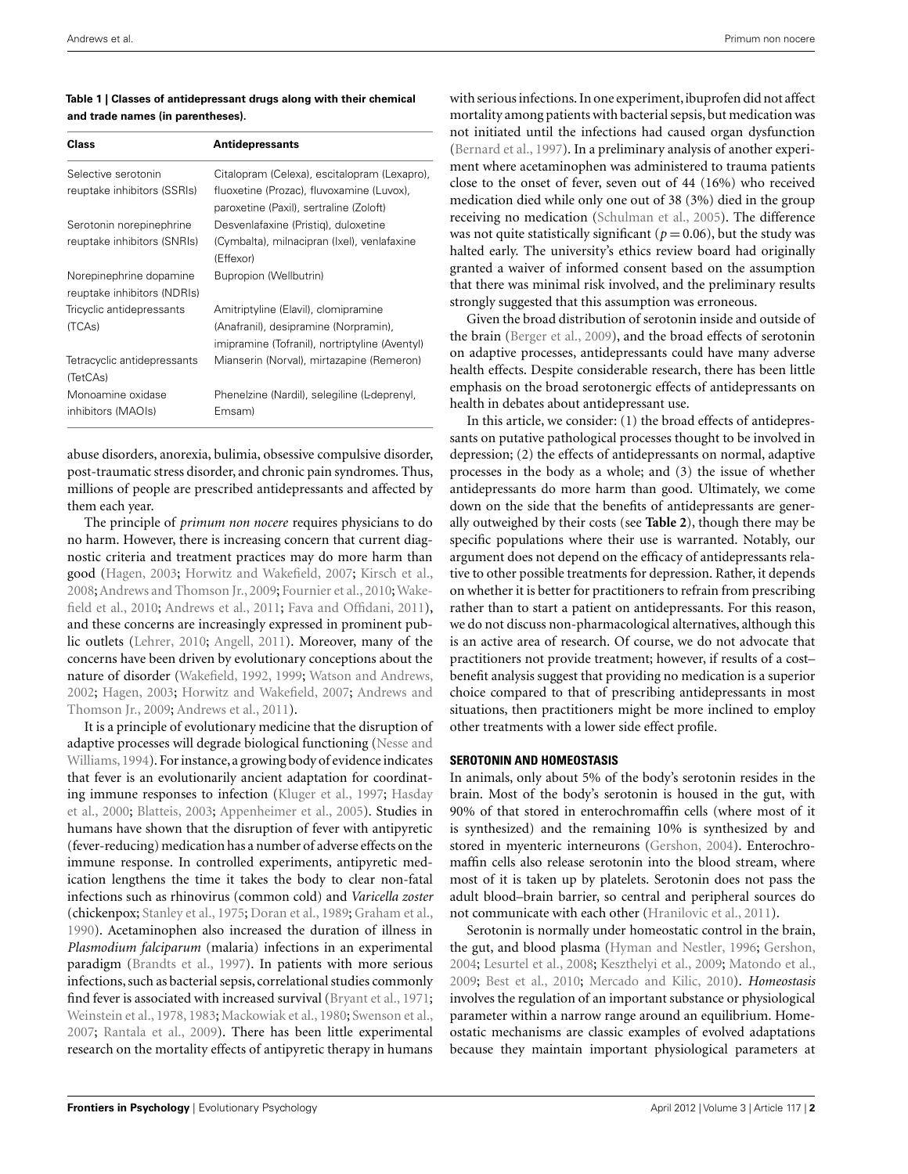## <span id="page-1-0"></span>**Table 1 | Classes of antidepressant drugs along with their chemical and trade names (in parentheses).**

| Class                                                  | <b>Antidepressants</b>                                                                                                               |
|--------------------------------------------------------|--------------------------------------------------------------------------------------------------------------------------------------|
| Selective serotonin<br>reuptake inhibitors (SSRIs)     | Citalopram (Celexa), escitalopram (Lexapro),<br>fluoxetine (Prozac), fluvoxamine (Luvox),<br>paroxetine (Paxil), sertraline (Zoloft) |
| Serotonin norepinephrine                               | Desvenlafaxine (Pristig), duloxetine                                                                                                 |
| reuptake inhibitors (SNRIs)                            | (Cymbalta), milnacipran (Ixel), venlafaxine<br>(Effexor)                                                                             |
| Norepinephrine dopamine<br>reuptake inhibitors (NDRIs) | Bupropion (Wellbutrin)                                                                                                               |
| Tricyclic antidepressants                              | Amitriptyline (Elavil), clomipramine                                                                                                 |
| (TCAs)                                                 | (Anafranil), desipramine (Norpramin),                                                                                                |
|                                                        | imipramine (Tofranil), nortriptyline (Aventyl)                                                                                       |
| Tetracyclic antidepressants<br>(TetCAs)                | Mianserin (Norval), mirtazapine (Remeron)                                                                                            |
| Monoamine oxidase<br>inhibitors (MAOIs)                | Phenelzine (Nardil), selegiline (L-deprenyl,<br>Emsam)                                                                               |

abuse disorders, anorexia, bulimia, obsessive compulsive disorder, post-traumatic stress disorder, and chronic pain syndromes. Thus, millions of people are prescribed antidepressants and affected by them each year.

The principle of *primum non nocere* requires physicians to do no harm. However, there is increasing concern that current diagnostic criteria and treatment practices may do more harm than good [\(Hagen, 2003](#page-15-0); [Horwitz and Wakefield](#page-15-0), [2007;](#page-15-0) [Kirsch et al.,](#page-15-0) [2008;](#page-15-0) [Andrews and Thomson Jr., 2009](#page-13-0)[;](#page-17-0) [Fournier et al.](#page-14-0), [2010](#page-14-0); Wakefield et al., [2010](#page-17-0); [Andrews et al.](#page-13-0), [2011](#page-13-0); [Fava and Offidani](#page-14-0), [2011](#page-14-0)), and these concerns are increasingly expressed in prominent public outlets [\(Lehrer](#page-16-0), [2010;](#page-16-0) [Angell, 2011\)](#page-13-0). Moreover, many of the concerns have been driven by evolutionary conceptions about the nature of disorder [\(Wakefield](#page-17-0), [1992, 1999;](#page-17-0) [Watson and Andrews,](#page-17-0) [2002;](#page-17-0) [Hagen, 2003](#page-15-0); [Horwitz and Wakefield](#page-15-0)[,](#page-13-0) [2007;](#page-15-0) Andrews and Thomson Jr., [2009](#page-13-0); [Andrews et al., 2011\)](#page-13-0).

It is a principle of evolutionary medicine that the disruption of adaptive [processes](#page-16-0) [will](#page-16-0) [degrade](#page-16-0) [biological](#page-16-0) [functioning](#page-16-0) [\(](#page-16-0)Nesse and Williams[,1994](#page-16-0)). For instance, a growing body of evidence indicates that fever is an evolutionarily ancient adaptation for coordinating i[mmune responses to infection \(Kluger et al., 1997;](#page-15-0) Hasday et al., [2000](#page-15-0); [Blatteis](#page-13-0), [2003](#page-13-0); [Appenheimer et al., 2005](#page-13-0)). Studies in humans have shown that the disruption of fever with antipyretic (fever-reducing) medication has a number of adverse effects on the immune response. In controlled experiments, antipyretic medication lengthens the time it takes the body to clear non-fatal infections such as rhinovirus (common cold) and *Varicella zoster* (chickenpox; [Stanley et al., 1975;](#page-17-0) [Doran et al.](#page-14-0), [1989](#page-14-0); [Graham et al.,](#page-15-0) [1990\)](#page-15-0). Acetaminophen also increased the duration of illness in *Plasmodium falciparum* (malaria) infections in an experimental paradigm [\(Brandts et al., 1997\)](#page-13-0). In patients with more serious infections, such as bacterial sepsis, correlational studies commonly find fever is associated with increased survival [\(Bryant et al., 1971;](#page-14-0) [Weinstein et al., 1978, 1983;](#page-17-0) [Mackowiak et al., 1980;](#page-16-0) [Swenson et al.,](#page-17-0) [2007;](#page-17-0) [Rantala et al.](#page-16-0), [2009](#page-16-0)). There has been little experimental research on the mortality effects of antipyretic therapy in humans

with serious infections. In one experiment, ibuprofen did not affect mortality among patients with bacterial sepsis, but medication was not initiated until the infections had caused organ dysfunction [\(Bernard et al.](#page-13-0), [1997](#page-13-0)). In a preliminary analysis of another experiment where acetaminophen was administered to trauma patients close to the onset of fever, seven out of 44 (16%) who received medication died while only one out of 38 (3%) died in the group receiving no medication [\(Schulman et al., 2005\)](#page-17-0). The difference was not quite statistically significant ( $p = 0.06$ ), but the study was halted early. The university's ethics review board had originally granted a waiver of informed consent based on the assumption that there was minimal risk involved, and the preliminary results strongly suggested that this assumption was erroneous.

Given the broad distribution of serotonin inside and outside of the brain [\(Berger et al., 2009\)](#page-13-0), and the broad effects of serotonin on adaptive processes, antidepressants could have many adverse health effects. Despite considerable research, there has been little emphasis on the broad serotonergic effects of antidepressants on health in debates about antidepressant use.

In this article, we consider: (1) the broad effects of antidepressants on putative pathological processes thought to be involved in depression; (2) the effects of antidepressants on normal, adaptive processes in the body as a whole; and (3) the issue of whether antidepressants do more harm than good. Ultimately, we come down on the side that the benefits of antidepressants are generally outweighed by their costs (see **[Table 2](#page-2-0)**), though there may be specific populations where their use is warranted. Notably, our argument does not depend on the efficacy of antidepressants relative to other possible treatments for depression. Rather, it depends on whether it is better for practitioners to refrain from prescribing rather than to start a patient on antidepressants. For this reason, we do not discuss non-pharmacological alternatives, although this is an active area of research. Of course, we do not advocate that practitioners not provide treatment; however, if results of a cost– benefit analysis suggest that providing no medication is a superior choice compared to that of prescribing antidepressants in most situations, then practitioners might be more inclined to employ other treatments with a lower side effect profile.

#### **SEROTONIN AND HOMEOSTASIS**

In animals, only about 5% of the body's serotonin resides in the brain. Most of the body's serotonin is housed in the gut, with 90% of that stored in enterochromaffin cells (where most of it is synthesized) and the remaining 10% is synthesized by and stored in myenteric interneurons [\(Gershon, 2004\)](#page-14-0). Enterochromaffin cells also release serotonin into the blood stream, where most of it is taken up by platelets. Serotonin does not pass the adult blood–brain barrier, so central and peripheral sources do not communicate with each other [\(Hranilovic et al., 2011](#page-15-0)).

Serotonin is normally under homeostatic control in the brain, the gut, and blood plasma [\(Hyman and Nestler](#page-15-0), [1996](#page-15-0); [Gershon,](#page-14-0) [2004;](#page-14-0) [Lesurtel et al., 2008](#page-16-0); [Keszthelyi et al.](#page-15-0), [2009](#page-15-0); [Matondo et al.,](#page-16-0) [2009;](#page-16-0) [Best et al.](#page-13-0), [2010](#page-13-0); [Mercado and Kilic, 2010\)](#page-16-0). *Homeostasis* involves the regulation of an important substance or physiological parameter within a narrow range around an equilibrium. Homeostatic mechanisms are classic examples of evolved adaptations because they maintain important physiological parameters at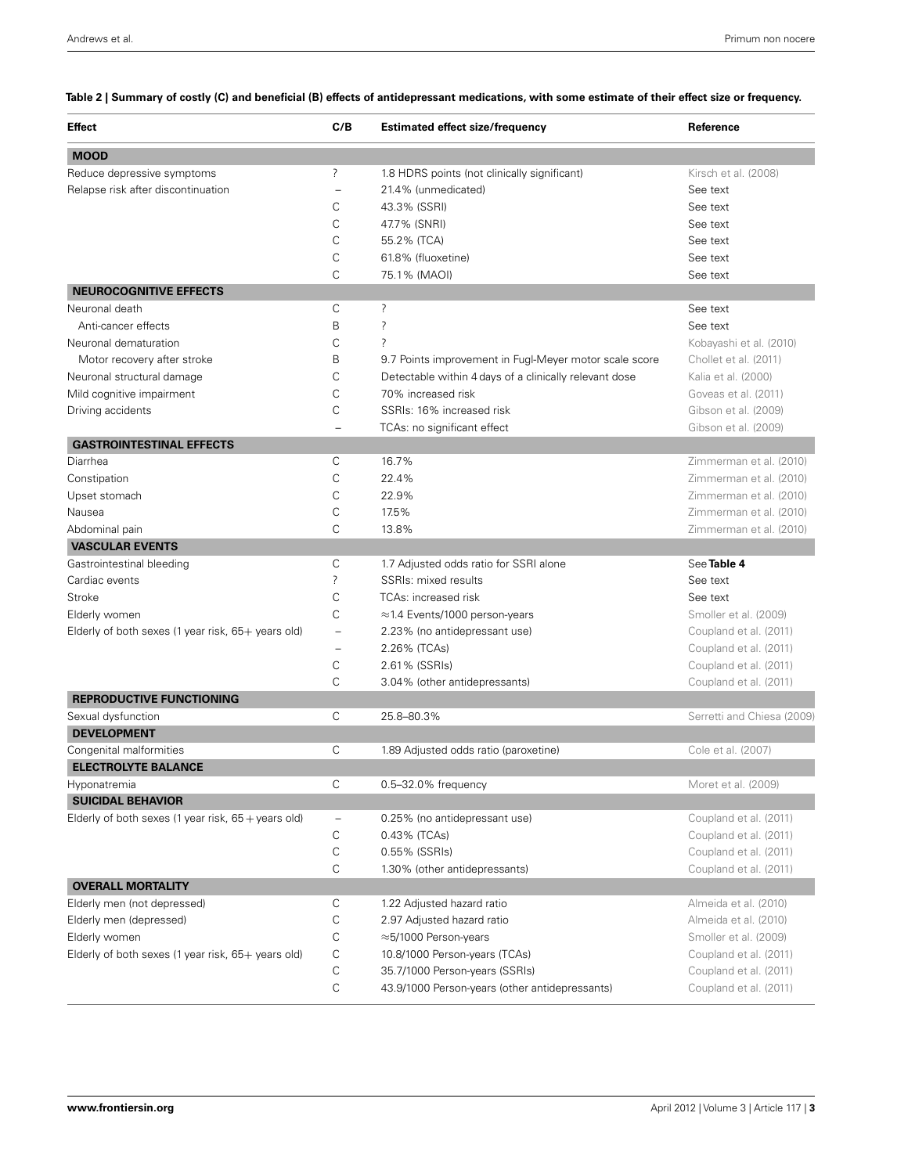| <b>Effect</b>                                         | C/B                      | <b>Estimated effect size/frequency</b>                 | Reference                  |
|-------------------------------------------------------|--------------------------|--------------------------------------------------------|----------------------------|
| <b>MOOD</b>                                           |                          |                                                        |                            |
| Reduce depressive symptoms                            | ?                        | 1.8 HDRS points (not clinically significant)           | Kirsch et al. (2008)       |
| Relapse risk after discontinuation                    | $\overline{\phantom{0}}$ | 21.4% (unmedicated)                                    | See text                   |
|                                                       | С                        | 43.3% (SSRI)                                           | See text                   |
|                                                       | C                        | 47.7% (SNRI)                                           | See text                   |
|                                                       | C                        | 55.2% (TCA)                                            | See text                   |
|                                                       | C                        | 61.8% (fluoxetine)                                     | See text                   |
|                                                       | C                        | 75.1% (MAOI)                                           | See text                   |
| <b>NEUROCOGNITIVE EFFECTS</b>                         |                          |                                                        |                            |
| Neuronal death                                        | C                        | $\overline{?}$                                         | See text                   |
| Anti-cancer effects                                   | B                        | ?                                                      | See text                   |
| Neuronal dematuration                                 | C                        | ?                                                      | Kobayashi et al. (2010)    |
| Motor recovery after stroke                           | Β                        | 9.7 Points improvement in Fugl-Meyer motor scale score | Chollet et al. (2011)      |
| Neuronal structural damage                            | С                        | Detectable within 4 days of a clinically relevant dose | Kalia et al. (2000)        |
| Mild cognitive impairment                             | C                        | 70% increased risk                                     | Goveas et al. (2011)       |
| Driving accidents                                     | С                        | SSRIs: 16% increased risk                              | Gibson et al. (2009)       |
|                                                       |                          | TCAs: no significant effect                            | Gibson et al. (2009)       |
| <b>GASTROINTESTINAL EFFECTS</b>                       |                          |                                                        |                            |
| Diarrhea                                              | C                        | 16.7%                                                  | Zimmerman et al. (2010)    |
| Constipation                                          | C                        | 22.4%                                                  | Zimmerman et al. (2010)    |
| Upset stomach                                         | C                        | 22.9%                                                  | Zimmerman et al. (2010)    |
| Nausea                                                | С                        | 17.5%                                                  | Zimmerman et al. (2010)    |
| Abdominal pain                                        | C                        | 13.8%                                                  | Zimmerman et al. (2010)    |
| <b>VASCULAR EVENTS</b>                                |                          |                                                        |                            |
| Gastrointestinal bleeding                             | С                        | 1.7 Adjusted odds ratio for SSRI alone                 | See Table 4                |
| Cardiac events                                        | ?                        | SSRIs: mixed results                                   | See text                   |
| <b>Stroke</b>                                         | С                        | TCAs: increased risk                                   | See text                   |
| Elderly women                                         | С                        | $\approx$ 1.4 Events/1000 person-years                 | Smoller et al. (2009)      |
| Elderly of both sexes (1 year risk, 65+ years old)    | $\equiv$                 | 2.23% (no antidepressant use)                          | Coupland et al. (2011)     |
|                                                       | $\overline{\phantom{0}}$ | 2.26% (TCAs)                                           | Coupland et al. (2011)     |
|                                                       | С                        | 2.61% (SSRIs)                                          | Coupland et al. (2011)     |
|                                                       | C                        | 3.04% (other antidepressants)                          | Coupland et al. (2011)     |
| <b>REPRODUCTIVE FUNCTIONING</b>                       |                          |                                                        |                            |
| Sexual dysfunction                                    | С                        | 25.8-80.3%                                             | Serretti and Chiesa (2009) |
| <b>DEVELOPMENT</b>                                    |                          |                                                        |                            |
| Congenital malformities                               | C                        | 1.89 Adjusted odds ratio (paroxetine)                  | Cole et al. (2007)         |
| <b>ELECTROLYTE BALANCE</b>                            |                          |                                                        |                            |
| Hyponatremia                                          | C                        | $0.5 - 32.0\%$ frequency                               | Moret et al. (2009)        |
| <b>SUICIDAL BEHAVIOR</b>                              |                          |                                                        |                            |
| Elderly of both sexes (1 year risk, $65 +$ years old) | $\overline{\phantom{a}}$ | 0.25% (no antidepressant use)                          | Coupland et al. (2011)     |
|                                                       | $\mathsf C$              | 0.43% (TCAs)                                           | Coupland et al. (2011)     |
|                                                       | $\mathsf C$              | 0.55% (SSRIs)                                          | Coupland et al. (2011)     |
|                                                       | C                        | 1.30% (other antidepressants)                          | Coupland et al. (2011)     |
| <b>OVERALL MORTALITY</b>                              |                          |                                                        |                            |
| Elderly men (not depressed)                           | С                        | 1.22 Adjusted hazard ratio                             | Almeida et al. (2010)      |
| Elderly men (depressed)                               | С                        | 2.97 Adjusted hazard ratio                             | Almeida et al. (2010)      |
|                                                       | С                        |                                                        |                            |
| Elderly women                                         |                          | $\approx$ 5/1000 Person-years                          | Smoller et al. (2009)      |
| Elderly of both sexes (1 year risk, 65+ years old)    | С                        | 10.8/1000 Person-years (TCAs)                          | Coupland et al. (2011)     |
|                                                       | $\mathsf C$              | 35.7/1000 Person-years (SSRIs)                         | Coupland et al. (2011)     |
|                                                       | $\mathsf C$              | 43.9/1000 Person-years (other antidepressants)         | Coupland et al. (2011)     |

<span id="page-2-0"></span>**Table 2 | Summary of costly (C) and beneficial (B) effects of antidepressant medications, with some estimate of their effect size or frequency.**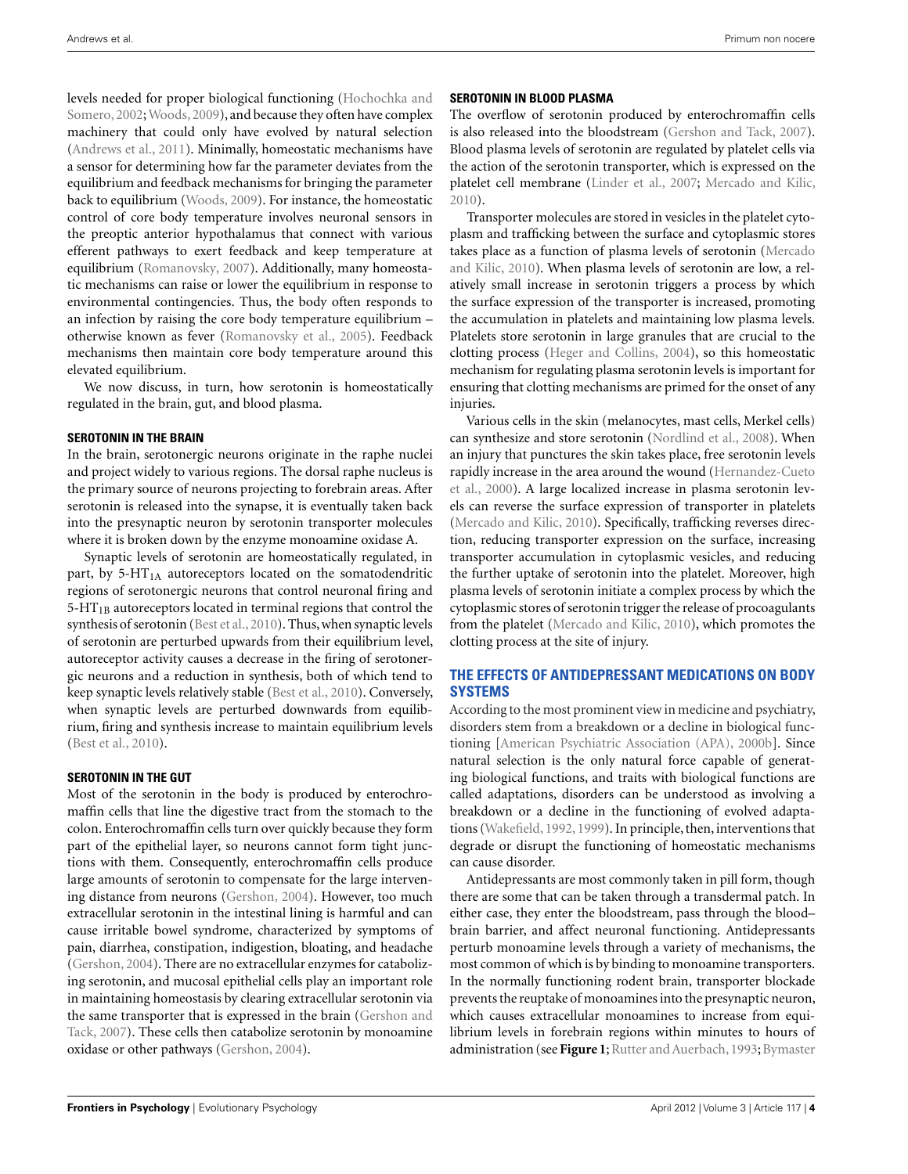levels n[eeded for proper biological functioning \(](#page-15-0)Hochochka and Somero[, 2002](#page-15-0); [Woods](#page-17-0), [2009\)](#page-17-0), and because they often have complex machinery that could only have evolved by natural selection [\(Andrews et al.](#page-13-0), [2011](#page-13-0)). Minimally, homeostatic mechanisms have a sensor for determining how far the parameter deviates from the equilibrium and feedback mechanisms for bringing the parameter back to equilibrium [\(Woods](#page-17-0), [2009\)](#page-17-0). For instance, the homeostatic control of core body temperature involves neuronal sensors in the preoptic anterior hypothalamus that connect with various efferent pathways to exert feedback and keep temperature at equilibrium [\(Romanovsky, 2007](#page-16-0)). Additionally, many homeostatic mechanisms can raise or lower the equilibrium in response to environmental contingencies. Thus, the body often responds to an infection by raising the core body temperature equilibrium – otherwise known as fever [\(Romanovsky et al., 2005](#page-16-0)). Feedback mechanisms then maintain core body temperature around this elevated equilibrium.

We now discuss, in turn, how serotonin is homeostatically regulated in the brain, gut, and blood plasma.

#### **SEROTONIN IN THE BRAIN**

In the brain, serotonergic neurons originate in the raphe nuclei and project widely to various regions. The dorsal raphe nucleus is the primary source of neurons projecting to forebrain areas. After serotonin is released into the synapse, it is eventually taken back into the presynaptic neuron by serotonin transporter molecules where it is broken down by the enzyme monoamine oxidase A.

Synaptic levels of serotonin are homeostatically regulated, in part, by 5-HT $_{1A}$  autoreceptors located on the somatodendritic regions of serotonergic neurons that control neuronal firing and  $5-\text{HT}_{1B}$  autoreceptors located in terminal regions that control the synthesis of serotonin [\(Best et al.](#page-13-0), [2010](#page-13-0)). Thus, when synaptic levels of serotonin are perturbed upwards from their equilibrium level, autoreceptor activity causes a decrease in the firing of serotonergic neurons and a reduction in synthesis, both of which tend to keep synaptic levels relatively stable [\(Best et al.](#page-13-0), [2010](#page-13-0)). Conversely, when synaptic levels are perturbed downwards from equilibrium, firing and synthesis increase to maintain equilibrium levels [\(Best et al., 2010](#page-13-0)).

## **SEROTONIN IN THE GUT**

Most of the serotonin in the body is produced by enterochromaffin cells that line the digestive tract from the stomach to the colon. Enterochromaffin cells turn over quickly because they form part of the epithelial layer, so neurons cannot form tight junctions with them. Consequently, enterochromaffin cells produce large amounts of serotonin to compensate for the large intervening distance from neurons [\(Gershon](#page-14-0), [2004](#page-14-0)). However, too much extracellular serotonin in the intestinal lining is harmful and can cause irritable bowel syndrome, characterized by symptoms of pain, diarrhea, constipation, indigestion, bloating, and headache [\(Gershon](#page-14-0), [2004](#page-14-0)). There are no extracellular enzymes for catabolizing serotonin, and mucosal epithelial cells play an important role in maintaining homeostasis by clearing extracellular serotonin via the [same transporter that is expressed in the brain \(](#page-14-0)Gershon and Tack, [2007](#page-14-0)). These cells then catabolize serotonin by monoamine oxidase or other pathways [\(Gershon, 2004\)](#page-14-0).

## **SEROTONIN IN BLOOD PLASMA**

The overflow of serotonin produced by enterochromaffin cells is also released into the bloodstream [\(Gershon and Tack, 2007](#page-14-0)). Blood plasma levels of serotonin are regulated by platelet cells via the action of the serotonin transporter, which is expressed on the platelet cell membrane [\(Linder et al., 2007](#page-16-0); [Mercado and Kilic,](#page-16-0) [2010\)](#page-16-0).

Transporter molecules are stored in vesicles in the platelet cytoplasm and trafficking between the surface and cytoplasmic stores takes pla[ce as a function of plasma levels of serotonin \(](#page-16-0)Mercado and Kilic, [2010\)](#page-16-0). When plasma levels of serotonin are low, a relatively small increase in serotonin triggers a process by which the surface expression of the transporter is increased, promoting the accumulation in platelets and maintaining low plasma levels. Platelets store serotonin in large granules that are crucial to the clotting process [\(Heger and Collins, 2004](#page-15-0)), so this homeostatic mechanism for regulating plasma serotonin levels is important for ensuring that clotting mechanisms are primed for the onset of any injuries.

Various cells in the skin (melanocytes, mast cells, Merkel cells) can synthesize and store serotonin [\(Nordlind et al.](#page-16-0), [2008\)](#page-16-0). When an injury that punctures the skin takes place, free serotonin levels rapi[dly increase in the area around the wound \(](#page-15-0)Hernandez-Cueto et al., [2000\)](#page-15-0). A large localized increase in plasma serotonin levels can reverse the surface expression of transporter in platelets [\(Mercado and Kilic, 2010\)](#page-16-0). Specifically, trafficking reverses direction, reducing transporter expression on the surface, increasing transporter accumulation in cytoplasmic vesicles, and reducing the further uptake of serotonin into the platelet. Moreover, high plasma levels of serotonin initiate a complex process by which the cytoplasmic stores of serotonin trigger the release of procoagulants from the platelet [\(Mercado and Kilic](#page-16-0), [2010\)](#page-16-0), which promotes the clotting process at the site of injury.

# **THE EFFECTS OF ANTIDEPRESSANT MEDICATIONS ON BODY SYSTEMS**

According to the most prominent view in medicine and psychiatry, disorders stem from a breakdown or a decline in biological functioning [\[American Psychiatric Association \(APA\), 2000b\]](#page-13-0). Since natural selection is the only natural force capable of generating biological functions, and traits with biological functions are called adaptations, disorders can be understood as involving a breakdown or a decline in the functioning of evolved adaptations [\(Wakefield](#page-17-0), [1992, 1999\)](#page-17-0). In principle, then, interventions that degrade or disrupt the functioning of homeostatic mechanisms can cause disorder.

Antidepressants are most commonly taken in pill form, though there are some that can be taken through a transdermal patch. In either case, they enter the bloodstream, pass through the blood– brain barrier, and affect neuronal functioning. Antidepressants perturb monoamine levels through a variety of mechanisms, the most common of which is by binding to monoamine transporters. In the normally functioning rodent brain, transporter blockade prevents the reuptake of monoamines into the presynaptic neuron, which causes extracellular monoamines to increase from equilibrium levels in forebrain regions within minutes to hours of administration (see [Figure 1](#page-4-0); Rutter and Auerbach, [1993;](#page-16-0) Bymaster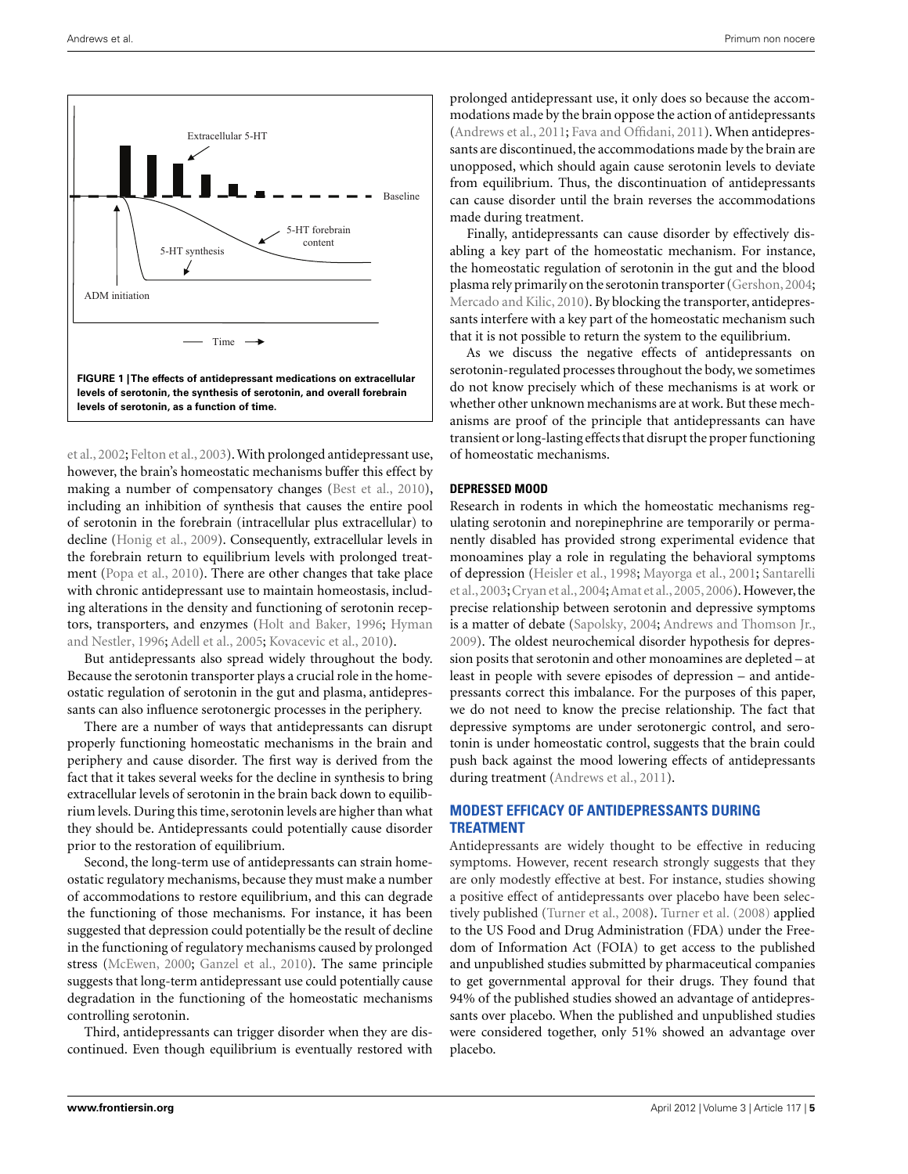<span id="page-4-0"></span>

et al., [2002](#page-14-0); [Felton et al., 2003\)](#page-14-0).With prolonged antidepressant use, however, the brain's homeostatic mechanisms buffer this effect by making a number of compensatory changes [\(Best et al., 2010](#page-13-0)), including an inhibition of synthesis that causes the entire pool of serotonin in the forebrain (intracellular plus extracellular) to decline [\(Honig et al., 2009\)](#page-15-0). Consequently, extracellular levels in the forebrain return to equilibrium levels with prolonged treatment [\(Popa et al.](#page-16-0), [2010](#page-16-0)). There are other changes that take place with chronic antidepressant use to maintain homeostasis, including alterations in the density and functioning of serotonin receptors, trans[porters, and enzymes \(Holt and Baker, 1996;](#page-15-0) Hyman and Nestler, [1996](#page-15-0); [Adell et al., 2005](#page-13-0); [Kovacevic et al., 2010\)](#page-16-0).

But antidepressants also spread widely throughout the body. Because the serotonin transporter plays a crucial role in the homeostatic regulation of serotonin in the gut and plasma, antidepressants can also influence serotonergic processes in the periphery.

There are a number of ways that antidepressants can disrupt properly functioning homeostatic mechanisms in the brain and periphery and cause disorder. The first way is derived from the fact that it takes several weeks for the decline in synthesis to bring extracellular levels of serotonin in the brain back down to equilibrium levels. During this time, serotonin levels are higher than what they should be. Antidepressants could potentially cause disorder prior to the restoration of equilibrium.

Second, the long-term use of antidepressants can strain homeostatic regulatory mechanisms, because they must make a number of accommodations to restore equilibrium, and this can degrade the functioning of those mechanisms. For instance, it has been suggested that depression could potentially be the result of decline in the functioning of regulatory mechanisms caused by prolonged stress [\(McEwen](#page-16-0), [2000](#page-16-0); [Ganzel et al., 2010](#page-14-0)). The same principle suggests that long-term antidepressant use could potentially cause degradation in the functioning of the homeostatic mechanisms controlling serotonin.

Third, antidepressants can trigger disorder when they are discontinued. Even though equilibrium is eventually restored with prolonged antidepressant use, it only does so because the accommodations made by the brain oppose the action of antidepressants [\(Andrews et al.](#page-13-0), [2011;](#page-13-0) [Fava and Offidani, 2011\)](#page-14-0). When antidepressants are discontinued, the accommodations made by the brain are unopposed, which should again cause serotonin levels to deviate from equilibrium. Thus, the discontinuation of antidepressants can cause disorder until the brain reverses the accommodations made during treatment.

Finally, antidepressants can cause disorder by effectively disabling a key part of the homeostatic mechanism. For instance, the homeostatic regulation of serotonin in the gut and the blood plasma rely primarily on the serotonin transporter [\(Gershon](#page-14-0),[2004;](#page-14-0) [Mercado and Kilic](#page-16-0), [2010\)](#page-16-0). By blocking the transporter, antidepressants interfere with a key part of the homeostatic mechanism such that it is not possible to return the system to the equilibrium.

As we discuss the negative effects of antidepressants on serotonin-regulated processes throughout the body, we sometimes do not know precisely which of these mechanisms is at work or whether other unknown mechanisms are at work. But these mechanisms are proof of the principle that antidepressants can have transient or long-lasting effects that disrupt the properfunctioning of homeostatic mechanisms.

## **DEPRESSED MOOD**

Research in rodents in which the homeostatic mechanisms regulating serotonin and norepinephrine are temporarily or permanently disabled has provided strong experimental evidence that monoamines play a role in regulating the behavioral symptoms of d[epression](#page-17-0) [\(Heisler et al.](#page-15-0)[,](#page-17-0) [1998](#page-15-0)[;](#page-17-0) [Mayorga et al.](#page-16-0), [2001;](#page-16-0) Santarelli et al.,[2003](#page-17-0)[;Cryan et al.,2004;](#page-14-0)[Amat et al.](#page-13-0),[2005,2006](#page-13-0)). However, the precise relationship between serotonin and depressive symptoms is a matter of debate [\(Sapolsky](#page-17-0), [2004](#page-17-0); [Andrews and Thomson Jr.,](#page-13-0) [2009\)](#page-13-0). The oldest neurochemical disorder hypothesis for depression posits that serotonin and other monoamines are depleted – at least in people with severe episodes of depression – and antidepressants correct this imbalance. For the purposes of this paper, we do not need to know the precise relationship. The fact that depressive symptoms are under serotonergic control, and serotonin is under homeostatic control, suggests that the brain could push back against the mood lowering effects of antidepressants during treatment [\(Andrews et al.](#page-13-0), [2011\)](#page-13-0).

# **MODEST EFFICACY OF ANTIDEPRESSANTS DURING TREATMENT**

Antidepressants are widely thought to be effective in reducing symptoms. However, recent research strongly suggests that they are only modestly effective at best. For instance, studies showing a positive effect of antidepressants over placebo have been selectively published [\(Turner et al.](#page-17-0), [2008\)](#page-17-0). [Turner et al.](#page-17-0) [\(2008](#page-17-0)) applied to the US Food and Drug Administration (FDA) under the Freedom of Information Act (FOIA) to get access to the published and unpublished studies submitted by pharmaceutical companies to get governmental approval for their drugs. They found that 94% of the published studies showed an advantage of antidepressants over placebo. When the published and unpublished studies were considered together, only 51% showed an advantage over placebo.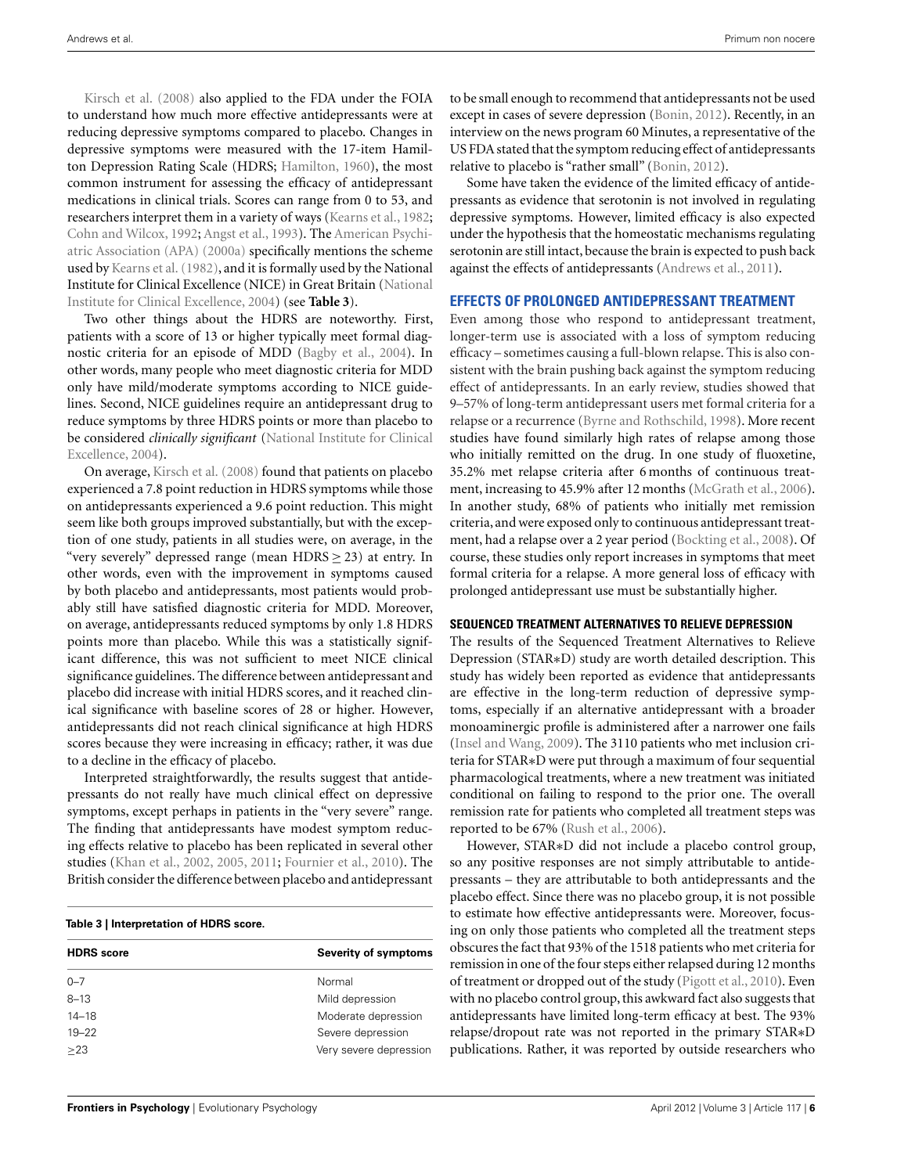Kirsch et al. [\(2008\)](#page-15-0) also applied to the FDA under the FOIA to understand how much more effective antidepressants were at reducing depressive symptoms compared to placebo. Changes in depressive symptoms were measured with the 17-item Hamilton Depression Rating Scale (HDRS; [Hamilton](#page-15-0), [1960\)](#page-15-0), the most common instrument for assessing the efficacy of antidepressant medications in clinical trials. Scores can range from 0 to 53, and researchers interpret them in a variety of ways [\(Kearns et al., 1982;](#page-15-0) [Cohn and Wilcox](#page-14-0), [1992](#page-14-0); [Angst et al., 1993\). The](#page-13-0) American Psychiatric Association (APA) [\(2000a](#page-13-0)) specifically mentions the scheme used by [Kearns et al.](#page-15-0) [\(1982\)](#page-15-0), and it is formally used by the National Institute for Clinical Excellence [\(NICE\) in Great Britain \(](#page-16-0)National Institute for Clinical Excellence, [2004\)](#page-16-0) (see **Table 3**).

Two other things about the HDRS are noteworthy. First, patients with a score of 13 or higher typically meet formal diagnostic criteria for an episode of MDD [\(Bagby et al.](#page-13-0), [2004](#page-13-0)). In other words, many people who meet diagnostic criteria for MDD only have mild/moderate symptoms according to NICE guidelines. Second, NICE guidelines require an antidepressant drug to reduce symptoms by three HDRS points or more than placebo to be considered *[clinically significant](#page-16-0)* (National Institute for Clinical Excellence, [2004\)](#page-16-0).

On average, [Kirsch et al.](#page-15-0) [\(2008](#page-15-0)) found that patients on placebo experienced a 7.8 point reduction in HDRS symptoms while those on antidepressants experienced a 9.6 point reduction. This might seem like both groups improved substantially, but with the exception of one study, patients in all studies were, on average, in the "very severely" depressed range (mean  $HDRS \geq 23$ ) at entry. In other words, even with the improvement in symptoms caused by both placebo and antidepressants, most patients would probably still have satisfied diagnostic criteria for MDD. Moreover, on average, antidepressants reduced symptoms by only 1.8 HDRS points more than placebo. While this was a statistically significant difference, this was not sufficient to meet NICE clinical significance guidelines. The difference between antidepressant and placebo did increase with initial HDRS scores, and it reached clinical significance with baseline scores of 28 or higher. However, antidepressants did not reach clinical significance at high HDRS scores because they were increasing in efficacy; rather, it was due to a decline in the efficacy of placebo.

Interpreted straightforwardly, the results suggest that antidepressants do not really have much clinical effect on depressive symptoms, except perhaps in patients in the "very severe" range. The finding that antidepressants have modest symptom reducing effects relative to placebo has been replicated in several other studies [\(Khan et al.](#page-15-0), [2002, 2005](#page-15-0), [2011](#page-15-0); [Fournier et al.](#page-14-0), [2010\)](#page-14-0). The British consider the difference between placebo and antidepressant

|  | Table 3   Interpretation of HDRS score. |  |  |
|--|-----------------------------------------|--|--|
|  |                                         |  |  |

| Severity of symptoms   |  |  |
|------------------------|--|--|
| Normal                 |  |  |
| Mild depression        |  |  |
| Moderate depression    |  |  |
| Severe depression      |  |  |
| Very severe depression |  |  |
|                        |  |  |

to be small enough to recommend that antidepressants not be used except in cases of severe depression [\(Bonin, 2012](#page-13-0)). Recently, in an interview on the news program 60 Minutes, a representative of the US FDA stated that the symptom reducing effect of antidepressants relative to placebo is "rather small" [\(Bonin](#page-13-0), [2012\)](#page-13-0).

Some have taken the evidence of the limited efficacy of antidepressants as evidence that serotonin is not involved in regulating depressive symptoms. However, limited efficacy is also expected under the hypothesis that the homeostatic mechanisms regulating serotonin are still intact, because the brain is expected to push back against the effects of antidepressants [\(Andrews et al.](#page-13-0), [2011\)](#page-13-0).

## **EFFECTS OF PROLONGED ANTIDEPRESSANT TREATMENT**

Even among those who respond to antidepressant treatment, longer-term use is associated with a loss of symptom reducing efficacy – sometimes causing a full-blown relapse. This is also consistent with the brain pushing back against the symptom reducing effect of antidepressants. In an early review, studies showed that 9–57% of long-term antidepressant users met formal criteria for a relapse or a recurrence [\(Byrne and Rothschild, 1998\)](#page-14-0). More recent studies have found similarly high rates of relapse among those who initially remitted on the drug. In one study of fluoxetine, 35.2% met relapse criteria after 6 months of continuous treatment, increasing to 45.9% after 12 months [\(McGrath et al., 2006](#page-16-0)). In another study, 68% of patients who initially met remission criteria, and were exposed only to continuous antidepressant treatment, had a relapse over a 2 year period [\(Bockting et al., 2008](#page-13-0)). Of course, these studies only report increases in symptoms that meet formal criteria for a relapse. A more general loss of efficacy with prolonged antidepressant use must be substantially higher.

#### **SEQUENCED TREATMENT ALTERNATIVES TO RELIEVE DEPRESSION**

The results of the Sequenced Treatment Alternatives to Relieve Depression (STAR∗D) study are worth detailed description. This study has widely been reported as evidence that antidepressants are effective in the long-term reduction of depressive symptoms, especially if an alternative antidepressant with a broader monoaminergic profile is administered after a narrower one fails [\(Insel and Wang, 2009](#page-15-0)). The 3110 patients who met inclusion criteria for STAR∗D were put through a maximum of four sequential pharmacological treatments, where a new treatment was initiated conditional on failing to respond to the prior one. The overall remission rate for patients who completed all treatment steps was reported to be 67% [\(Rush et al.](#page-16-0), [2006](#page-16-0)).

However, STAR∗D did not include a placebo control group, so any positive responses are not simply attributable to antidepressants – they are attributable to both antidepressants and the placebo effect. Since there was no placebo group, it is not possible to estimate how effective antidepressants were. Moreover, focusing on only those patients who completed all the treatment steps obscures the fact that 93% of the 1518 patients who met criteria for remission in one of the four steps either relapsed during 12 months of treatment or dropped out of the study [\(Pigott et al.](#page-16-0), [2010](#page-16-0)). Even with no placebo control group, this awkward fact also suggests that antidepressants have limited long-term efficacy at best. The 93% relapse/dropout rate was not reported in the primary STAR∗D publications. Rather, it was reported by outside researchers who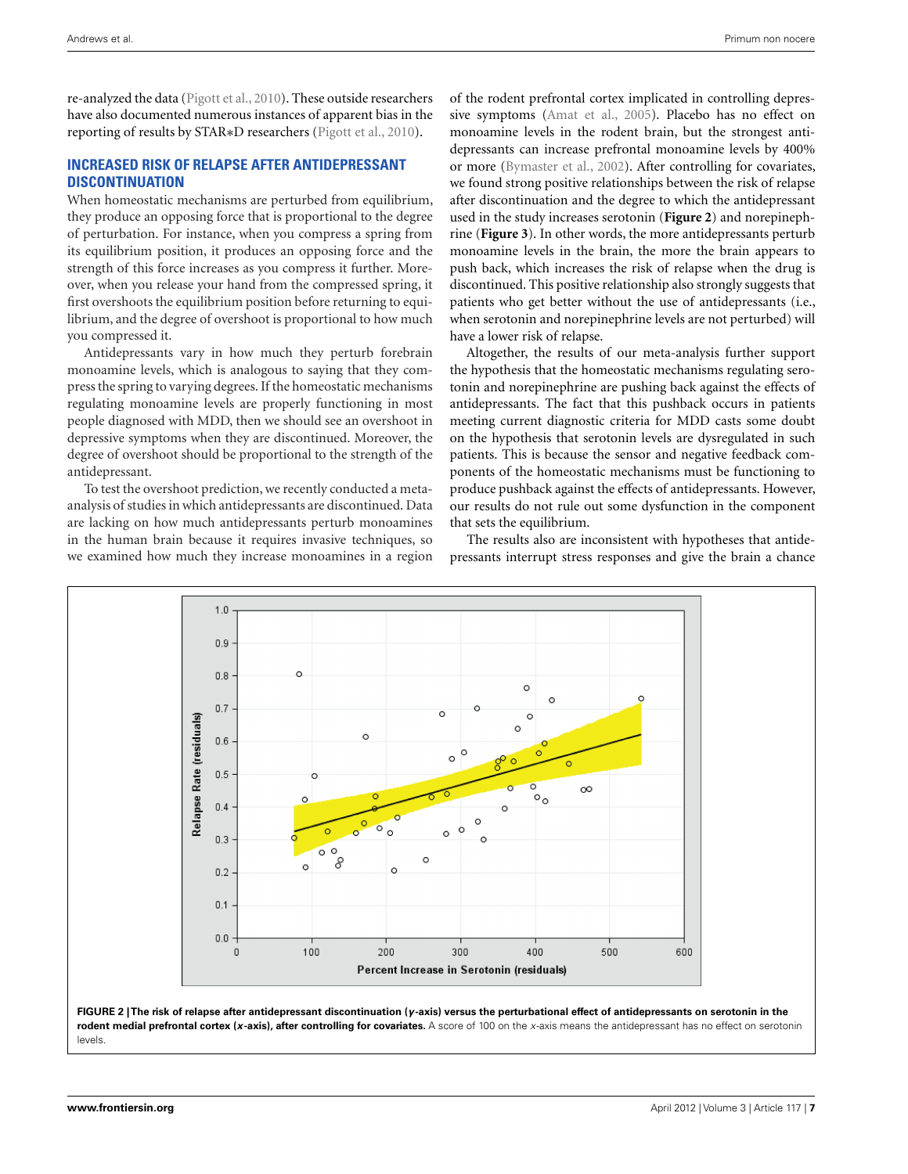re-analyzed the data [\(Pigott et al., 2010](#page-16-0)). These outside researchers have also documented numerous instances of apparent bias in the reporting of results by STAR∗D researchers [\(Pigott et al.](#page-16-0), [2010\)](#page-16-0).

# **INCREASED RISK OF RELAPSE AFTER ANTIDEPRESSANT DISCONTINUATION**

When homeostatic mechanisms are perturbed from equilibrium, they produce an opposing force that is proportional to the degree of perturbation. For instance, when you compress a spring from its equilibrium position, it produces an opposing force and the strength of this force increases as you compress it further. Moreover, when you release your hand from the compressed spring, it first overshoots the equilibrium position before returning to equilibrium, and the degree of overshoot is proportional to how much you compressed it.

Antidepressants vary in how much they perturb forebrain monoamine levels, which is analogous to saying that they compress the spring to varying degrees. If the homeostatic mechanisms regulating monoamine levels are properly functioning in most people diagnosed with MDD, then we should see an overshoot in depressive symptoms when they are discontinued. Moreover, the degree of overshoot should be proportional to the strength of the antidepressant.

To test the overshoot prediction, we recently conducted a metaanalysis of studies in which antidepressants are discontinued. Data are lacking on how much antidepressants perturb monoamines in the human brain because it requires invasive techniques, so we examined how much they increase monoamines in a region of the rodent prefrontal cortex implicated in controlling depressive symptoms [\(Amat et al., 2005](#page-13-0)). Placebo has no effect on monoamine levels in the rodent brain, but the strongest antidepressants can increase prefrontal monoamine levels by 400% or more [\(Bymaster et al., 2002](#page-14-0)). After controlling for covariates, we found strong positive relationships between the risk of relapse after discontinuation and the degree to which the antidepressant used in the study increases serotonin (**Figure 2**) and norepinephrine (**[Figure 3](#page-7-0)**). In other words, the more antidepressants perturb monoamine levels in the brain, the more the brain appears to push back, which increases the risk of relapse when the drug is discontinued. This positive relationship also strongly suggests that patients who get better without the use of antidepressants (i.e., when serotonin and norepinephrine levels are not perturbed) will have a lower risk of relapse.

Altogether, the results of our meta-analysis further support the hypothesis that the homeostatic mechanisms regulating serotonin and norepinephrine are pushing back against the effects of antidepressants. The fact that this pushback occurs in patients meeting current diagnostic criteria for MDD casts some doubt on the hypothesis that serotonin levels are dysregulated in such patients. This is because the sensor and negative feedback components of the homeostatic mechanisms must be functioning to produce pushback against the effects of antidepressants. However, our results do not rule out some dysfunction in the component that sets the equilibrium.

The results also are inconsistent with hypotheses that antidepressants interrupt stress responses and give the brain a chance



levels.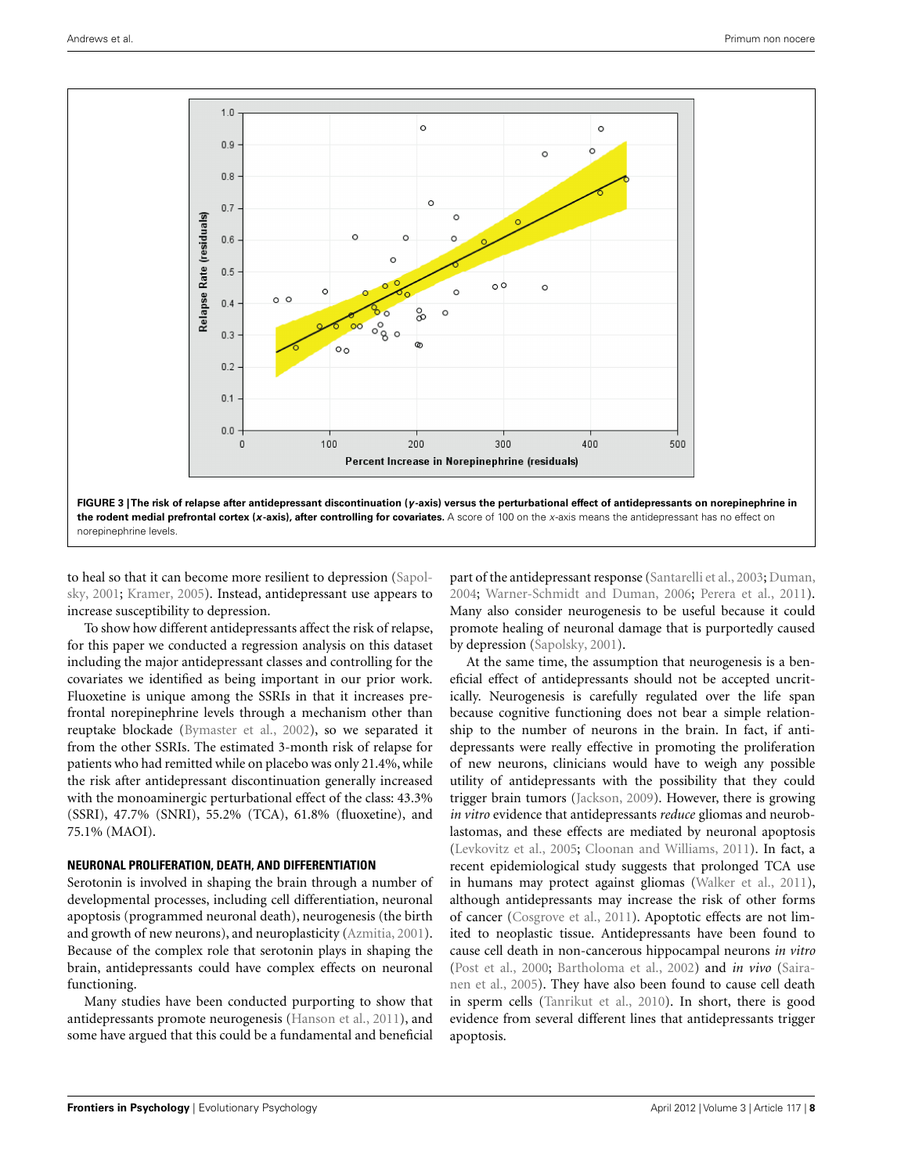<span id="page-7-0"></span>

to [heal so that it can become more resilient to depression \(](#page-17-0)Sapolsky, [2001;](#page-17-0) [Kramer, 2005\)](#page-16-0). Instead, antidepressant use appears to increase susceptibility to depression.

To show how different antidepressants affect the risk of relapse, for this paper we conducted a regression analysis on this dataset including the major antidepressant classes and controlling for the covariates we identified as being important in our prior work. Fluoxetine is unique among the SSRIs in that it increases prefrontal norepinephrine levels through a mechanism other than reuptake blockade [\(Bymaster et al.](#page-14-0), [2002\)](#page-14-0), so we separated it from the other SSRIs. The estimated 3-month risk of relapse for patients who had remitted while on placebo was only 21.4%, while the risk after antidepressant discontinuation generally increased with the monoaminergic perturbational effect of the class: 43.3% (SSRI), 47.7% (SNRI), 55.2% (TCA), 61.8% (fluoxetine), and 75.1% (MAOI).

## **NEURONAL PROLIFERATION, DEATH, AND DIFFERENTIATION**

Serotonin is involved in shaping the brain through a number of developmental processes, including cell differentiation, neuronal apoptosis (programmed neuronal death), neurogenesis (the birth and growth of new neurons), and neuroplasticity [\(Azmitia](#page-13-0), [2001](#page-13-0)). Because of the complex role that serotonin plays in shaping the brain, antidepressants could have complex effects on neuronal functioning.

Many studies have been conducted purporting to show that antidepressants promote neurogenesis [\(Hanson et al., 2011\)](#page-15-0), and some have argued that this could be a fundamental and beneficial part of the antidepressant response [\(Santarelli et al.](#page-17-0), [2003;](#page-17-0) [Duman,](#page-14-0) [2004;](#page-14-0) [Warner-Schmidt and Duman](#page-17-0), [2006](#page-17-0); [Perera et al., 2011](#page-16-0)). Many also consider neurogenesis to be useful because it could promote healing of neuronal damage that is purportedly caused by depression [\(Sapolsky, 2001](#page-17-0)).

At the same time, the assumption that neurogenesis is a beneficial effect of antidepressants should not be accepted uncritically. Neurogenesis is carefully regulated over the life span because cognitive functioning does not bear a simple relationship to the number of neurons in the brain. In fact, if antidepressants were really effective in promoting the proliferation of new neurons, clinicians would have to weigh any possible utility of antidepressants with the possibility that they could trigger brain tumors [\(Jackson, 2009\)](#page-15-0). However, there is growing *in vitro* evidence that antidepressants *reduce* gliomas and neuroblastomas, and these effects are mediated by neuronal apoptosis [\(Levkovitz et al., 2005](#page-16-0); [Cloonan and Williams](#page-14-0), [2011\)](#page-14-0). In fact, a recent epidemiological study suggests that prolonged TCA use in humans may protect against gliomas [\(Walker et al.](#page-17-0), [2011](#page-17-0)), although antidepressants may increase the risk of other forms of cancer [\(Cosgrove et al., 2011](#page-14-0)). Apoptotic effects are not limited to neoplastic tissue. Antidepressants have been found to cause cell death in non-cancerous hippocampal neurons *in vitro* [\(Post et al.](#page-16-0), [2000;](#page-16-0) [Bartholoma et al.](#page-13-0)[,](#page-17-0) [2002](#page-13-0)[\) and](#page-17-0) *in vivo* (Sairanen et al., [2005\)](#page-17-0). They have also been found to cause cell death in sperm cells [\(Tanrikut et al.](#page-17-0), [2010](#page-17-0)). In short, there is good evidence from several different lines that antidepressants trigger apoptosis.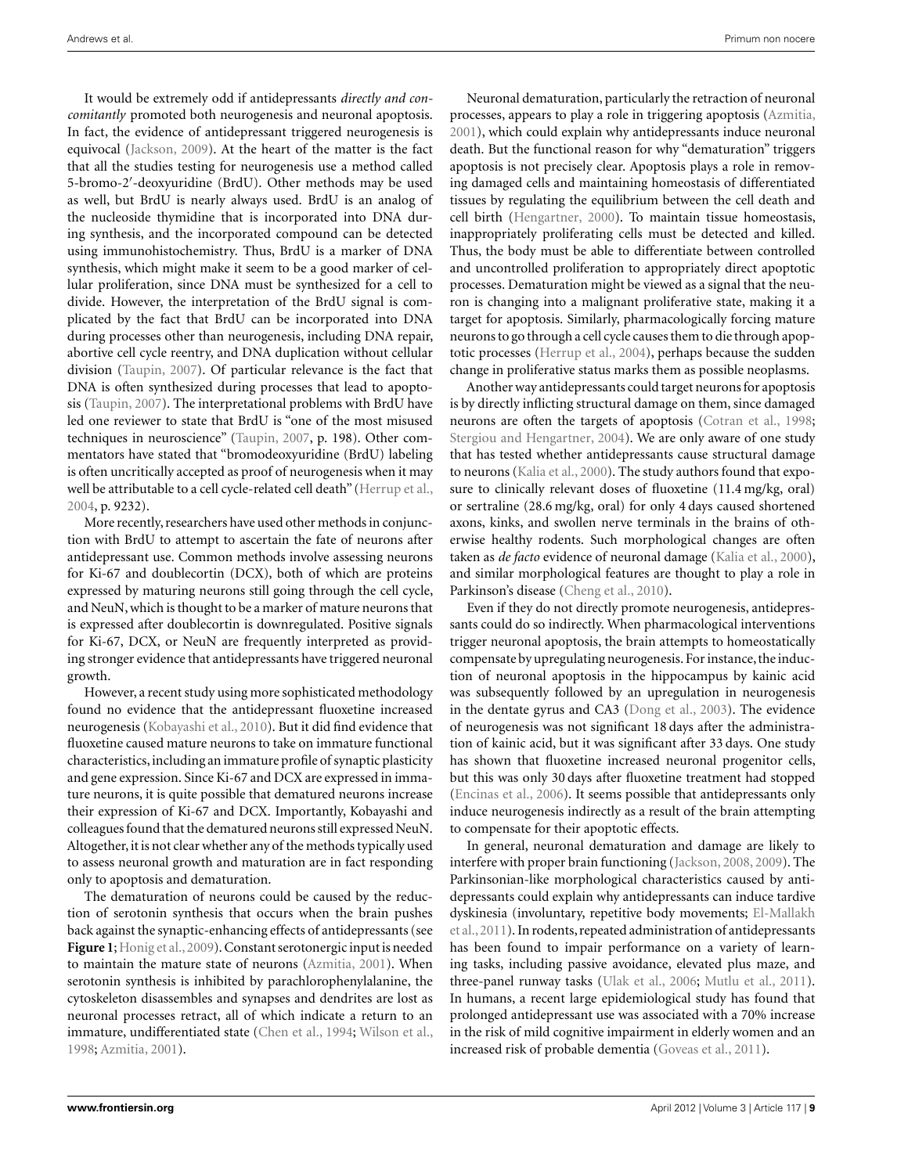It would be extremely odd if antidepressants *directly and concomitantly* promoted both neurogenesis and neuronal apoptosis. In fact, the evidence of antidepressant triggered neurogenesis is equivocal [\(Jackson](#page-15-0), [2009](#page-15-0)). At the heart of the matter is the fact that all the studies testing for neurogenesis use a method called 5-bromo-2 -deoxyuridine (BrdU). Other methods may be used as well, but BrdU is nearly always used. BrdU is an analog of the nucleoside thymidine that is incorporated into DNA during synthesis, and the incorporated compound can be detected using immunohistochemistry. Thus, BrdU is a marker of DNA synthesis, which might make it seem to be a good marker of cellular proliferation, since DNA must be synthesized for a cell to divide. However, the interpretation of the BrdU signal is complicated by the fact that BrdU can be incorporated into DNA during processes other than neurogenesis, including DNA repair, abortive cell cycle reentry, and DNA duplication without cellular division [\(Taupin](#page-17-0), [2007\)](#page-17-0). Of particular relevance is the fact that DNA is often synthesized during processes that lead to apoptosis [\(Taupin, 2007](#page-17-0)). The interpretational problems with BrdU have led one reviewer to state that BrdU is "one of the most misused techniques in neuroscience" [\(Taupin, 2007,](#page-17-0) p. 198). Other commentators have stated that "bromodeoxyuridine (BrdU) labeling is often uncritically accepted as proof of neurogenesis when it may well be attributable to a cell cycle-related cell death" [\(Herrup et al.,](#page-15-0) [2004,](#page-15-0) p. 9232).

More recently, researchers have used other methods in conjunction with BrdU to attempt to ascertain the fate of neurons after antidepressant use. Common methods involve assessing neurons for Ki-67 and doublecortin (DCX), both of which are proteins expressed by maturing neurons still going through the cell cycle, and NeuN, which is thought to be a marker of mature neurons that is expressed after doublecortin is downregulated. Positive signals for Ki-67, DCX, or NeuN are frequently interpreted as providing stronger evidence that antidepressants have triggered neuronal growth.

However, a recent study using more sophisticated methodology found no evidence that the antidepressant fluoxetine increased neurogenesis [\(Kobayashi et al.](#page-15-0), [2010](#page-15-0)). But it did find evidence that fluoxetine caused mature neurons to take on immature functional characteristics,including an immature profile of synaptic plasticity and gene expression. Since Ki-67 and DCX are expressed in immature neurons, it is quite possible that dematured neurons increase their expression of Ki-67 and DCX. Importantly, Kobayashi and colleagues found that the dematured neurons still expressed NeuN. Altogether, it is not clear whether any of the methods typically used to assess neuronal growth and maturation are in fact responding only to apoptosis and dematuration.

The dematuration of neurons could be caused by the reduction of serotonin synthesis that occurs when the brain pushes back against the synaptic-enhancing effects of antidepressants (see [Figure 1](#page-4-0); Honig et al., 2009). Constant serotonergic input is needed to maintain the mature state of neurons [\(Azmitia](#page-13-0), [2001](#page-13-0)). When serotonin synthesis is inhibited by parachlorophenylalanine, the cytoskeleton disassembles and synapses and dendrites are lost as neuronal processes retract, all of which indicate a return to an immature, undifferentiated state [\(Chen et al.](#page-14-0), [1994;](#page-14-0) [Wilson et al.,](#page-17-0) [1998;](#page-17-0) [Azmitia, 2001\)](#page-13-0).

Neuronal dematuration, particularly the retraction of neuronal processes, appears to play a role in triggering apoptosis [\(Azmitia,](#page-13-0) [2001\)](#page-13-0), which could explain why antidepressants induce neuronal death. But the functional reason for why "dematuration" triggers apoptosis is not precisely clear. Apoptosis plays a role in removing damaged cells and maintaining homeostasis of differentiated tissues by regulating the equilibrium between the cell death and cell birth [\(Hengartner](#page-15-0), [2000\)](#page-15-0). To maintain tissue homeostasis, inappropriately proliferating cells must be detected and killed. Thus, the body must be able to differentiate between controlled and uncontrolled proliferation to appropriately direct apoptotic processes. Dematuration might be viewed as a signal that the neuron is changing into a malignant proliferative state, making it a target for apoptosis. Similarly, pharmacologically forcing mature neurons to go through a cell cycle causes them to die through apoptotic processes [\(Herrup et al., 2004\)](#page-15-0), perhaps because the sudden change in proliferative status marks them as possible neoplasms.

Another way antidepressants could target neurons for apoptosis is by directly inflicting structural damage on them, since damaged neurons are often the targets of apoptosis [\(Cotran et al.](#page-14-0), [1998;](#page-14-0) [Stergiou and Hengartner, 2004](#page-17-0)). We are only aware of one study that has tested whether antidepressants cause structural damage to neurons [\(Kalia et al., 2000\)](#page-15-0). The study authors found that exposure to clinically relevant doses of fluoxetine (11.4 mg/kg, oral) or sertraline (28.6 mg/kg, oral) for only 4 days caused shortened axons, kinks, and swollen nerve terminals in the brains of otherwise healthy rodents. Such morphological changes are often taken as *de facto* evidence of neuronal damage [\(Kalia et al.](#page-15-0), [2000](#page-15-0)), and similar morphological features are thought to play a role in Parkinson's disease [\(Cheng et al.](#page-14-0), [2010\)](#page-14-0).

Even if they do not directly promote neurogenesis, antidepressants could do so indirectly. When pharmacological interventions trigger neuronal apoptosis, the brain attempts to homeostatically compensate by upregulating neurogenesis. For instance, the induction of neuronal apoptosis in the hippocampus by kainic acid was subsequently followed by an upregulation in neurogenesis in the dentate gyrus and CA3 [\(Dong et al.](#page-14-0), [2003](#page-14-0)). The evidence of neurogenesis was not significant 18 days after the administration of kainic acid, but it was significant after 33 days. One study has shown that fluoxetine increased neuronal progenitor cells, but this was only 30 days after fluoxetine treatment had stopped [\(Encinas et al.](#page-14-0), [2006\)](#page-14-0). It seems possible that antidepressants only induce neurogenesis indirectly as a result of the brain attempting to compensate for their apoptotic effects.

In general, neuronal dematuration and damage are likely to interfere with proper brain functioning [\(Jackson, 2008, 2009\)](#page-15-0). The Parkinsonian-like morphological characteristics caused by antidepressants could explain why antidepressants can induce tardive dys[kinesia \(involuntary, repetitive body movements;](#page-14-0) El-Mallakh et al.,[2011\)](#page-14-0). In rodents, repeated administration of antidepressants has been found to impair performance on a variety of learning tasks, including passive avoidance, elevated plus maze, and three-panel runway tasks [\(Ulak et al., 2006;](#page-17-0) [Mutlu et al., 2011](#page-16-0)). In humans, a recent large epidemiological study has found that prolonged antidepressant use was associated with a 70% increase in the risk of mild cognitive impairment in elderly women and an increased risk of probable dementia [\(Goveas et al.](#page-15-0), [2011\)](#page-15-0).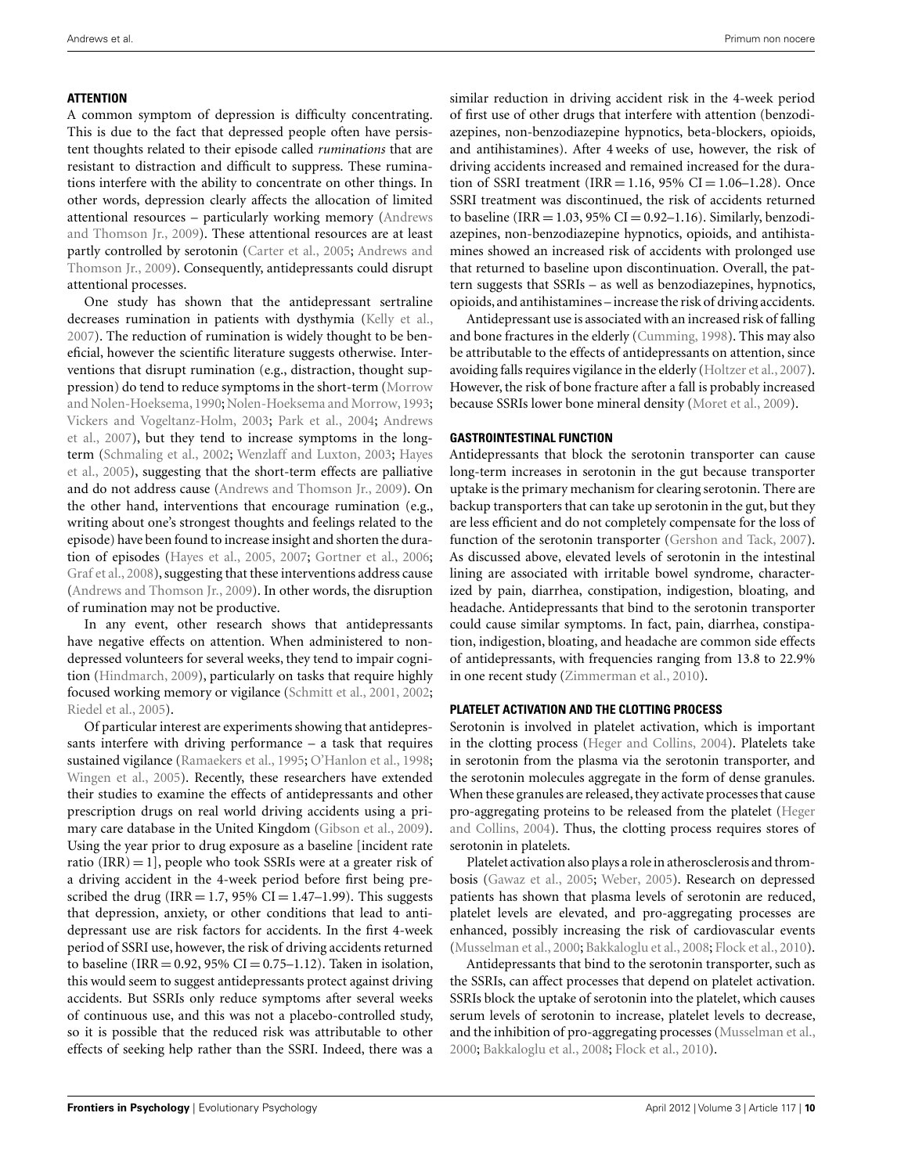# **ATTENTION**

A common symptom of depression is difficulty concentrating. This is due to the fact that depressed people often have persistent thoughts related to their episode called *ruminations* that are resistant to distraction and difficult to suppress. These ruminations interfere with the ability to concentrate on other things. In other words, depression clearly affects the allocation of limited attentional resources – particularly working memory (Andrews and Thomson Jr., [2009](#page-13-0)). These attentional resources are at least partly contr[olled by serotonin](#page-13-0) [\(Carter et al.](#page-14-0)[,](#page-13-0) [2005](#page-14-0)[;](#page-13-0) Andrews and Thomson Jr., [2009\)](#page-13-0). Consequently, antidepressants could disrupt attentional processes.

One study has shown that the antidepressant sertraline decreases rumination in patients with dysthymia [\(Kelly et al.,](#page-15-0) [2007\)](#page-15-0). The reduction of rumination is widely thought to be beneficial, however the scientific literature suggests otherwise. Interventions that disrupt rumination (e.g., distraction, thought suppression) do tend to r[educe symptoms in the short-term \(](#page-16-0)Morrow and Nolen-Hoeksema, [1990](#page-16-0); [Nolen-Hoeksema and Morrow](#page-16-0), [1993;](#page-16-0) [Vickers and Vogeltanz-Holm](#page-17-0)[,](#page-13-0) [2003](#page-17-0)[;](#page-13-0) [Park et al., 2004;](#page-16-0) Andrews et al., [2007\)](#page-13-0), but they tend to increase symptoms in the longterm [\(Schmaling et al., 2002;](#page-17-0) [Wenzlaff and Luxton](#page-17-0)[,](#page-15-0) [2003](#page-17-0)[;](#page-15-0) Hayes et al., [2005](#page-15-0)), suggesting that the short-term effects are palliative and do not address cause [\(Andrews and Thomson Jr.](#page-13-0), [2009](#page-13-0)). On the other hand, interventions that encourage rumination (e.g., writing about one's strongest thoughts and feelings related to the episode) have been found to increase insight and shorten the duration of episodes [\(Hayes et al., 2005, 2007](#page-15-0); [Gortner et al.](#page-14-0), [2006;](#page-14-0) [Graf et al., 2008\)](#page-15-0), suggesting that these interventions address cause [\(Andrews and Thomson Jr., 2009](#page-13-0)). In other words, the disruption of rumination may not be productive.

In any event, other research shows that antidepressants have negative effects on attention. When administered to nondepressed volunteers for several weeks, they tend to impair cognition [\(Hindmarch, 2009\)](#page-15-0), particularly on tasks that require highly focused working memory or vigilance [\(Schmitt et al., 2001](#page-17-0), [2002;](#page-17-0) [Riedel et al.](#page-16-0), [2005\)](#page-16-0).

Of particular interest are experiments showing that antidepressants interfere with driving performance – a task that requires sustained vigilance [\(Ramaekers et al.](#page-16-0), [1995](#page-16-0); [O'Hanlon et al.](#page-16-0), [1998;](#page-16-0) [Wingen et al., 2005\)](#page-17-0). Recently, these researchers have extended their studies to examine the effects of antidepressants and other prescription drugs on real world driving accidents using a primary care database in the United Kingdom [\(Gibson et al., 2009](#page-14-0)). Using the year prior to drug exposure as a baseline [incident rate ratio (IRR) = 1], people who took SSRIs were at a greater risk of a driving accident in the 4-week period before first being prescribed the drug (IRR = 1.7, 95% CI = 1.47–1.99). This suggests that depression, anxiety, or other conditions that lead to antidepressant use are risk factors for accidents. In the first 4-week period of SSRI use, however, the risk of driving accidents returned to baseline (IRR =  $0.92$ ,  $95\%$  CI =  $0.75-1.12$ ). Taken in isolation, this would seem to suggest antidepressants protect against driving accidents. But SSRIs only reduce symptoms after several weeks of continuous use, and this was not a placebo-controlled study, so it is possible that the reduced risk was attributable to other effects of seeking help rather than the SSRI. Indeed, there was a

similar reduction in driving accident risk in the 4-week period of first use of other drugs that interfere with attention (benzodiazepines, non-benzodiazepine hypnotics, beta-blockers, opioids, and antihistamines). After 4 weeks of use, however, the risk of driving accidents increased and remained increased for the duration of SSRI treatment (IRR = 1.16, 95% CI = 1.06–1.28). Once SSRI treatment was discontinued, the risk of accidents returned to baseline (IRR =  $1.03$ , 95% CI =  $0.92-1.16$ ). Similarly, benzodiazepines, non-benzodiazepine hypnotics, opioids, and antihistamines showed an increased risk of accidents with prolonged use that returned to baseline upon discontinuation. Overall, the pattern suggests that SSRIs – as well as benzodiazepines, hypnotics, opioids, and antihistamines – increase the risk of driving accidents.

Antidepressant use is associated with an increased risk of falling and bone fractures in the elderly [\(Cumming, 1998\)](#page-14-0). This may also be attributable to the effects of antidepressants on attention, since avoiding falls requires vigilance in the elderly [\(Holtzer et al.](#page-15-0), [2007](#page-15-0)). However, the risk of bone fracture after a fall is probably increased because SSRIs lower bone mineral density [\(Moret et al., 2009\)](#page-16-0).

# **GASTROINTESTINAL FUNCTION**

Antidepressants that block the serotonin transporter can cause long-term increases in serotonin in the gut because transporter uptake is the primary mechanism for clearing serotonin. There are backup transporters that can take up serotonin in the gut, but they are less efficient and do not completely compensate for the loss of function of the serotonin transporter [\(Gershon and Tack](#page-14-0), [2007](#page-14-0)). As discussed above, elevated levels of serotonin in the intestinal lining are associated with irritable bowel syndrome, characterized by pain, diarrhea, constipation, indigestion, bloating, and headache. Antidepressants that bind to the serotonin transporter could cause similar symptoms. In fact, pain, diarrhea, constipation, indigestion, bloating, and headache are common side effects of antidepressants, with frequencies ranging from 13.8 to 22.9% in one recent study [\(Zimmerman et al.](#page-17-0), [2010\)](#page-17-0).

# **PLATELET ACTIVATION AND THE CLOTTING PROCESS**

Serotonin is involved in platelet activation, which is important in the clotting process [\(Heger and Collins](#page-15-0), [2004\)](#page-15-0). Platelets take in serotonin from the plasma via the serotonin transporter, and the serotonin molecules aggregate in the form of dense granules. When these granules are released, they activate processes that cause pro-aggregating proteins to be released from the platelet (Heger and Collins, [2004](#page-15-0)). Thus, the clotting process requires stores of serotonin in platelets.

Platelet activation also plays a role in atherosclerosis and thrombosis [\(Gawaz et al., 2005](#page-14-0); [Weber](#page-17-0), [2005\)](#page-17-0). Research on depressed patients has shown that plasma levels of serotonin are reduced, platelet levels are elevated, and pro-aggregating processes are enhanced, possibly increasing the risk of cardiovascular events [\(Musselman et al.](#page-16-0), [2000](#page-16-0); [Bakkaloglu et al., 2008](#page-13-0); [Flock et al.](#page-14-0), [2010](#page-14-0)).

Antidepressants that bind to the serotonin transporter, such as the SSRIs, can affect processes that depend on platelet activation. SSRIs block the uptake of serotonin into the platelet, which causes serum levels of serotonin to increase, platelet levels to decrease, and the inhibition of pro-aggregating processes [\(Musselman et al.,](#page-16-0) [2000;](#page-16-0) [Bakkaloglu et al.](#page-13-0), [2008;](#page-13-0) [Flock et al., 2010](#page-14-0)).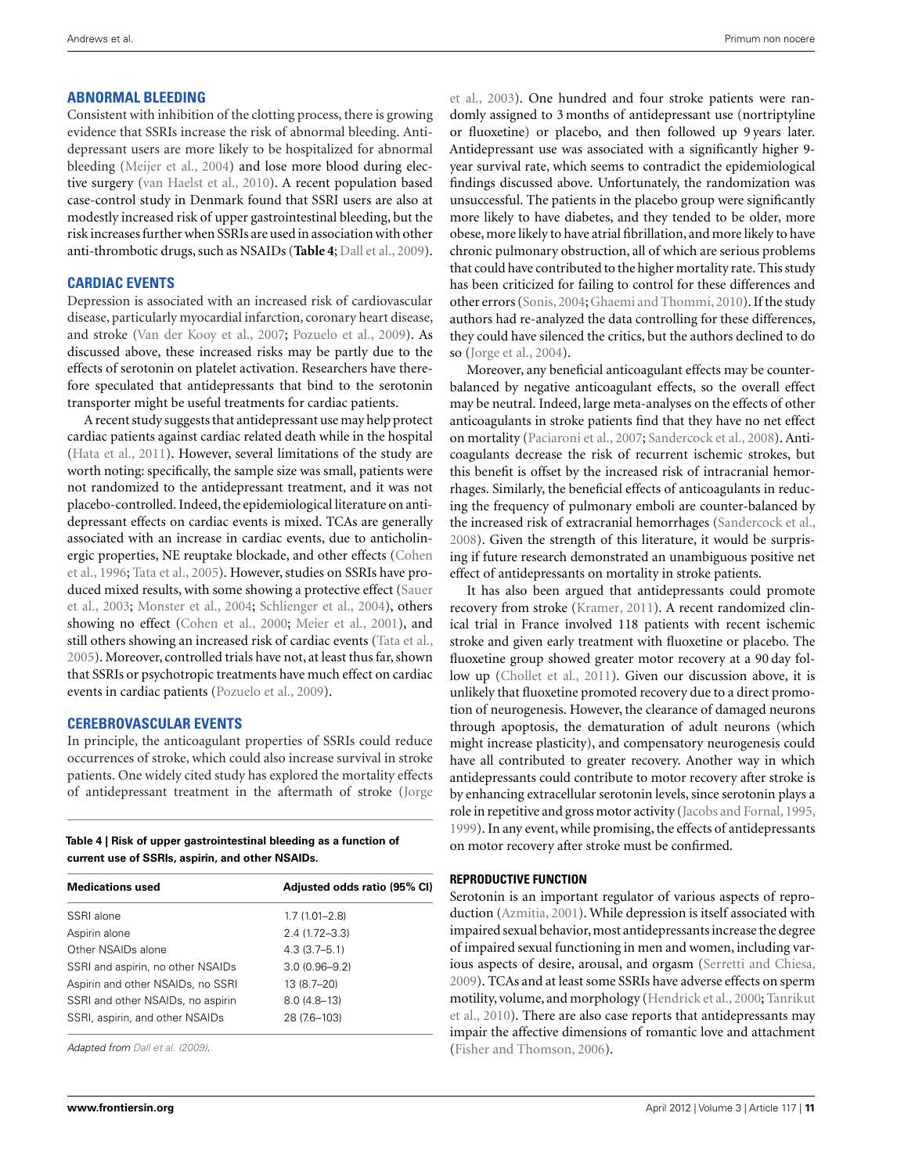# <span id="page-10-0"></span>**ABNORMAL BLEEDING**

Consistent with inhibition of the clotting process, there is growing evidence that SSRIs increase the risk of abnormal bleeding. Antidepressant users are more likely to be hospitalized for abnormal bleeding [\(Meijer et al.](#page-16-0), [2004\)](#page-16-0) and lose more blood during elective surgery [\(van Haelst et al., 2010\)](#page-17-0). A recent population based case-control study in Denmark found that SSRI users are also at modestly increased risk of upper gastrointestinal bleeding, but the risk increases further when SSRIs are used in association with other anti-thrombotic drugs, such as NSAIDs (**Table 4**; [Dall et al.](#page-14-0), [2009](#page-14-0)).

# **CARDIAC EVENTS**

Depression is associated with an increased risk of cardiovascular disease, particularly myocardial infarction, coronary heart disease, and stroke [\(Van der Kooy et al., 2007](#page-17-0); [Pozuelo et al.](#page-16-0), [2009\)](#page-16-0). As discussed above, these increased risks may be partly due to the effects of serotonin on platelet activation. Researchers have therefore speculated that antidepressants that bind to the serotonin transporter might be useful treatments for cardiac patients.

A recent study suggests that antidepressant use may help protect cardiac patients against cardiac related death while in the hospital [\(Hata et al., 2011\)](#page-15-0). However, several limitations of the study are worth noting: specifically, the sample size was small, patients were not randomized to the antidepressant treatment, and it was not placebo-controlled. Indeed, the epidemiological literature on antidepressant effects on cardiac events is mixed. TCAs are generally associated with an increase in cardiac events, due to anticholinergi[c properties, NE reuptake blockade, and other effects \(](#page-14-0)Cohen et al., [1996](#page-14-0); [Tata et al.](#page-17-0), [2005](#page-17-0)). However, studies on SSRIs have produce[d mixed results, with some showing a protective effect \(](#page-17-0)Sauer et al., [2003;](#page-17-0) [Monster et al., 2004;](#page-16-0) [Schlienger et al.](#page-17-0), [2004\)](#page-17-0), others showing no effect [\(Cohen et al.](#page-14-0), [2000;](#page-14-0) [Meier et al., 2001\)](#page-16-0), and still others showing an increased risk of cardiac events [\(Tata et al.,](#page-17-0) [2005\)](#page-17-0). Moreover, controlled trials have not, at least thus far, shown that SSRIs or psychotropic treatments have much effect on cardiac events in cardiac patients [\(Pozuelo et al., 2009](#page-16-0)).

# **CEREBROVASCULAR EVENTS**

In principle, the anticoagulant properties of SSRIs could reduce occurrences of stroke, which could also increase survival in stroke patients. One widely cited study has explored the mortality effects of antidepressant treatment in the aftermath of stroke (Jorge

| Table 4   Risk of upper gastrointestinal bleeding as a function of |  |
|--------------------------------------------------------------------|--|
| current use of SSRIs, aspirin, and other NSAIDs.                   |  |

| <b>Medications used</b>           | Adjusted odds ratio (95% CI) |
|-----------------------------------|------------------------------|
| SSRI alone                        | $1.7(1.01 - 2.8)$            |
| Aspirin alone                     | $2.4(1.72 - 3.3)$            |
| Other NSAIDs alone                | $4.3(3.7-5.1)$               |
| SSRI and aspirin, no other NSAIDs | $3.0(0.96 - 9.2)$            |
| Aspirin and other NSAIDs, no SSRI | 13 (8.7-20)                  |
| SSRI and other NSAIDs, no aspirin | $8.0(4.8-13)$                |
| SSRI, aspirin, and other NSAIDs   | 28 (7.6-103)                 |
|                                   |                              |

Adapted from [Dall et al. \(2009\)](#page-14-0).

et al., [2003\)](#page-15-0). One hundred and four stroke patients were randomly assigned to 3 months of antidepressant use (nortriptyline or fluoxetine) or placebo, and then followed up 9 years later. Antidepressant use was associated with a significantly higher 9 year survival rate, which seems to contradict the epidemiological findings discussed above. Unfortunately, the randomization was unsuccessful. The patients in the placebo group were significantly more likely to have diabetes, and they tended to be older, more obese,more likely to have atrial fibrillation, and more likely to have chronic pulmonary obstruction, all of which are serious problems that could have contributed to the higher mortality rate. This study has been criticized for failing to control for these differences and other errors [\(Sonis](#page-17-0), [2004;](#page-17-0) [Ghaemi and Thommi](#page-14-0), [2010](#page-14-0)). If the study authors had re-analyzed the data controlling for these differences, they could have silenced the critics, but the authors declined to do so [\(Jorge et al., 2004](#page-15-0)).

Moreover, any beneficial anticoagulant effects may be counterbalanced by negative anticoagulant effects, so the overall effect may be neutral. Indeed, large meta-analyses on the effects of other anticoagulants in stroke patients find that they have no net effect on mortality [\(Paciaroni et al.](#page-16-0), [2007](#page-16-0); [Sandercock et al.](#page-17-0), [2008](#page-17-0)). Anticoagulants decrease the risk of recurrent ischemic strokes, but this benefit is offset by the increased risk of intracranial hemorrhages. Similarly, the beneficial effects of anticoagulants in reducing the frequency of pulmonary emboli are counter-balanced by the increased risk of extracranial hemorrhages [\(Sandercock et al.,](#page-17-0) [2008\)](#page-17-0). Given the strength of this literature, it would be surprising if future research demonstrated an unambiguous positive net effect of antidepressants on mortality in stroke patients.

It has also been argued that antidepressants could promote recovery from stroke [\(Kramer, 2011\)](#page-16-0). A recent randomized clinical trial in France involved 118 patients with recent ischemic stroke and given early treatment with fluoxetine or placebo. The fluoxetine group showed greater motor recovery at a 90 day follow up [\(Chollet et al.](#page-14-0), [2011](#page-14-0)). Given our discussion above, it is unlikely that fluoxetine promoted recovery due to a direct promotion of neurogenesis. However, the clearance of damaged neurons through apoptosis, the dematuration of adult neurons (which might increase plasticity), and compensatory neurogenesis could have all contributed to greater recovery. Another way in which antidepressants could contribute to motor recovery after stroke is by enhancing extracellular serotonin levels, since serotonin plays a role in repetitive and gross motor activity [\(Jacobs and Fornal](#page-15-0), [1995,](#page-15-0) [1999\)](#page-15-0). In any event, while promising, the effects of antidepressants on motor recovery after stroke must be confirmed.

### **REPRODUCTIVE FUNCTION**

Serotonin is an important regulator of various aspects of reproduction [\(Azmitia](#page-13-0), [2001](#page-13-0)). While depression is itself associated with impaired sexual behavior, most antidepressants increase the degree of impaired sexual functioning in men and women, including various aspects of desire, arousal, and orgasm [\(Serretti and Chiesa,](#page-17-0) [2009\)](#page-17-0). TCAs and at least some SSRIs have adverse effects on sperm moti[lity,](#page-17-0) [volume,](#page-17-0) [and](#page-17-0) [morphology](#page-17-0) [\(Hendrick et al., 2000](#page-15-0)[;](#page-17-0) Tanrikut et al., [2010](#page-17-0)). There are also case reports that antidepressants may impair the affective dimensions of romantic love and attachment [\(Fisher and Thomson, 2006\)](#page-14-0).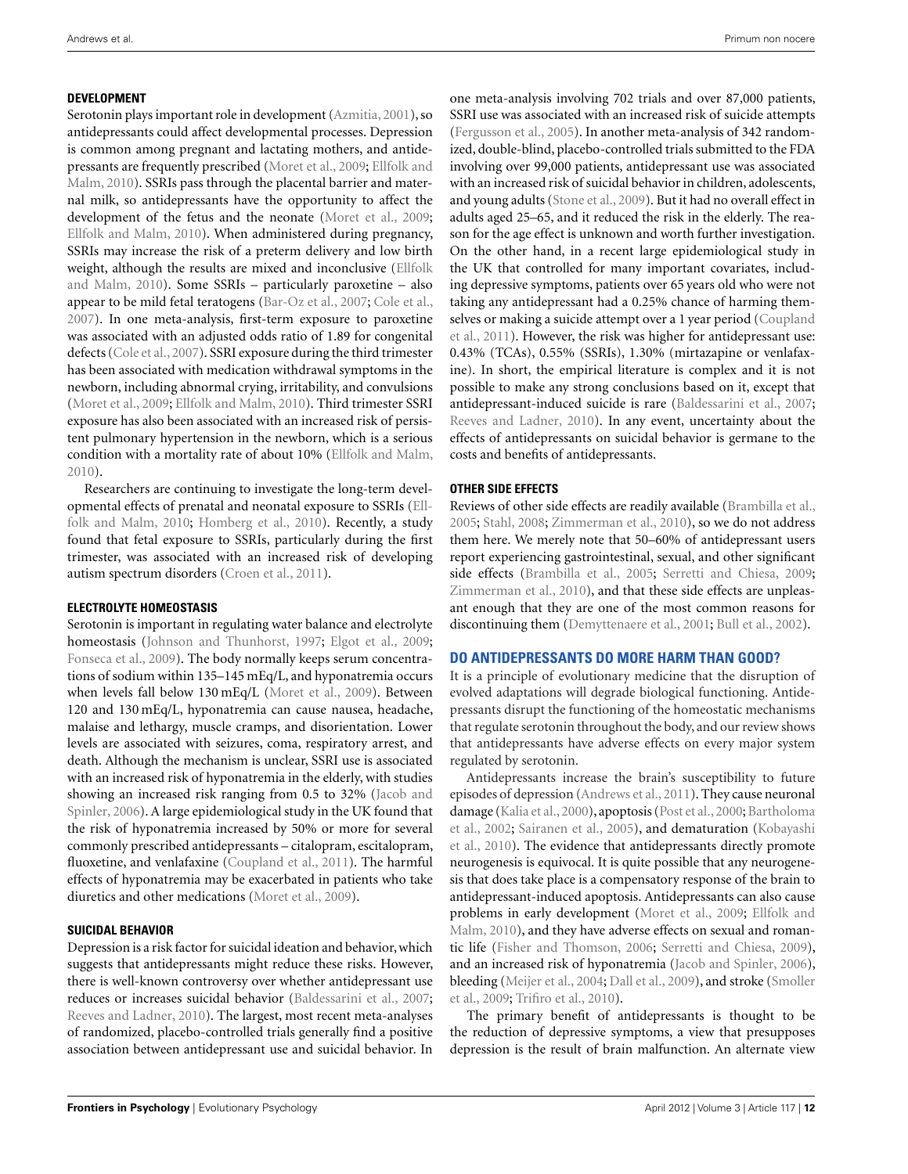# **DEVELOPMENT**

Serotonin plays important role in development [\(Azmitia, 2001\)](#page-13-0), so antidepressants could affect developmental processes. Depression is common among pregnant and lactating mothers, and antidepress[ants are frequently prescribed](#page-14-0) [\(Moret et al.](#page-16-0)[,](#page-14-0) [2009;](#page-16-0) Ellfolk and Malm, [2010](#page-14-0)). SSRIs pass through the placental barrier and maternal milk, so antidepressants have the opportunity to affect the development of the fetus and the neonate [\(Moret et al., 2009;](#page-16-0) [Ellfolk and Malm, 2010\)](#page-14-0). When administered during pregnancy, SSRIs may increase the risk of a preterm delivery and low birth weight, alt[hough the results are mixed and inconclusive \(](#page-14-0)Ellfolk and Malm, [2010\)](#page-14-0). Some SSRIs – particularly paroxetine – also appear to be mild fetal teratogens [\(Bar-Oz et al.](#page-13-0), [2007;](#page-13-0) [Cole et al.,](#page-14-0) [2007\)](#page-14-0). In one meta-analysis, first-term exposure to paroxetine was associated with an adjusted odds ratio of 1.89 for congenital defects [\(Cole et al.](#page-14-0), [2007](#page-14-0)). SSRI exposure during the third trimester has been associated with medication withdrawal symptoms in the newborn, including abnormal crying, irritability, and convulsions [\(Moret et al., 2009](#page-16-0); [Ellfolk and Malm, 2010\)](#page-14-0). Third trimester SSRI exposure has also been associated with an increased risk of persistent pulmonary hypertension in the newborn, which is a serious condition with a mortality rate of about 10% [\(Ellfolk and Malm,](#page-14-0) [2010\)](#page-14-0).

Researchers are continuing to investigate the long-term developmental effec[ts of prenatal and neonatal exposure to SSRIs \(](#page-14-0)Ell-folk and Malm, [2010](#page-15-0); [Homberg et al.](#page-15-0), 2010). Recently, a study found that fetal exposure to SSRIs, particularly during the first trimester, was associated with an increased risk of developing autism spectrum disorders [\(Croen et al.](#page-14-0), [2011\)](#page-14-0).

# **ELECTROLYTE HOMEOSTASIS**

Serotonin is important in regulating water balance and electrolyte homeostasis [\(Johnson and Thunhorst, 1997;](#page-15-0) [Elgot et al., 2009;](#page-14-0) [Fonseca et al., 2009](#page-14-0)). The body normally keeps serum concentrations of sodium within 135–145 mEq/L, and hyponatremia occurs when levels fall below 130 mEq/L [\(Moret et al.](#page-16-0), [2009\)](#page-16-0). Between 120 and 130 mEq/L, hyponatremia can cause nausea, headache, malaise and lethargy, muscle cramps, and disorientation. Lower levels are associated with seizures, coma, respiratory arrest, and death. Although the mechanism is unclear, SSRI use is associated with an increased risk of hyponatremia in the elderly, with studies showi[ng an increased risk ranging from 0.5 to 32% \(](#page-15-0)Jacob and Spinler, [2006](#page-15-0)). A large epidemiological study in the UK found that the risk of hyponatremia increased by 50% or more for several commonly prescribed antidepressants – citalopram, escitalopram, fluoxetine, and venlafaxine [\(Coupland et al.](#page-14-0), [2011](#page-14-0)). The harmful effects of hyponatremia may be exacerbated in patients who take diuretics and other medications [\(Moret et al., 2009\)](#page-16-0).

# **SUICIDAL BEHAVIOR**

Depression is a risk factor for suicidal ideation and behavior,which suggests that antidepressants might reduce these risks. However, there is well-known controversy over whether antidepressant use reduces or increases suicidal behavior [\(Baldessarini et al.](#page-13-0), [2007;](#page-13-0) [Reeves and Ladner](#page-16-0), [2010](#page-16-0)). The largest, most recent meta-analyses of randomized, placebo-controlled trials generally find a positive association between antidepressant use and suicidal behavior. In

one meta-analysis involving 702 trials and over 87,000 patients, SSRI use was associated with an increased risk of suicide attempts [\(Fergusson et al., 2005](#page-14-0)). In another meta-analysis of 342 randomized, double-blind, placebo-controlled trials submitted to the FDA involving over 99,000 patients, antidepressant use was associated with an increased risk of suicidal behavior in children, adolescents, and young adults [\(Stone et al.](#page-17-0), [2009](#page-17-0)). But it had no overall effect in adults aged 25–65, and it reduced the risk in the elderly. The reason for the age effect is unknown and worth further investigation. On the other hand, in a recent large epidemiological study in the UK that controlled for many important covariates, including depressive symptoms, patients over 65 years old who were not taking any antidepressant had a 0.25% chance of harming themselve[s or making a suicide attempt over a 1 year period \(](#page-14-0)Coupland et al., [2011](#page-14-0)). However, the risk was higher for antidepressant use: 0.43% (TCAs), 0.55% (SSRIs), 1.30% (mirtazapine or venlafaxine). In short, the empirical literature is complex and it is not possible to make any strong conclusions based on it, except that antidepressant-induced suicide is rare [\(Baldessarini et al.](#page-13-0), [2007;](#page-13-0) [Reeves and Ladner, 2010\)](#page-16-0). In any event, uncertainty about the effects of antidepressants on suicidal behavior is germane to the costs and benefits of antidepressants.

# **OTHER SIDE EFFECTS**

Reviews of other side effects are readily available [\(Brambilla et al.,](#page-13-0) [2005;](#page-13-0) [Stahl](#page-17-0), [2008;](#page-17-0) [Zimmerman et al., 2010](#page-17-0)), so we do not address them here. We merely note that 50–60% of antidepressant users report experiencing gastrointestinal, sexual, and other significant side effects [\(Brambilla et al., 2005;](#page-13-0) [Serretti and Chiesa](#page-17-0), [2009;](#page-17-0) [Zimmerman et al., 2010](#page-17-0)), and that these side effects are unpleasant enough that they are one of the most common reasons for discontinuing them [\(Demyttenaere et al., 2001;](#page-14-0) [Bull et al., 2002](#page-14-0)).

## **DO ANTIDEPRESSANTS DO MORE HARM THAN GOOD?**

It is a principle of evolutionary medicine that the disruption of evolved adaptations will degrade biological functioning. Antidepressants disrupt the functioning of the homeostatic mechanisms that regulate serotonin throughout the body, and our review shows that antidepressants have adverse effects on every major system regulated by serotonin.

Antidepressants increase the brain's susceptibility to future episodes of depression [\(Andrews et al.](#page-13-0), [2011\)](#page-13-0). They cause neuronal damage [\(Kalia et al.](#page-15-0), [2000\)](#page-15-0), apoptosis [\(Post et al.](#page-16-0), [2000;](#page-16-0) Bartholoma et al., [2002;](#page-13-0) [Sairanen et al.](#page-17-0)[,](#page-15-0) [2005](#page-17-0)[\), and dematuration \(](#page-15-0)Kobayashi et al., [2010\)](#page-15-0). The evidence that antidepressants directly promote neurogenesis is equivocal. It is quite possible that any neurogenesis that does take place is a compensatory response of the brain to antidepressant-induced apoptosis. Antidepressants can also cause probl[ems in early development](#page-14-0) [\(Moret et al.](#page-16-0)[,](#page-14-0) [2009;](#page-16-0) Ellfolk and Malm, [2010](#page-14-0)), and they have adverse effects on sexual and romantic life [\(Fisher and Thomson, 2006](#page-14-0); [Serretti and Chiesa, 2009](#page-17-0)), and an increased risk of hyponatremia [\(Jacob and Spinler, 2006](#page-15-0)), bleeding [\(Meijer et al.](#page-16-0), [2004](#page-16-0); [Dall et al.](#page-14-0)[,](#page-17-0) [2009\)](#page-14-0)[, and stroke \(](#page-17-0)Smoller et al., [2009;](#page-17-0) [Trifiro et al.](#page-17-0), [2010\)](#page-17-0).

The primary benefit of antidepressants is thought to be the reduction of depressive symptoms, a view that presupposes depression is the result of brain malfunction. An alternate view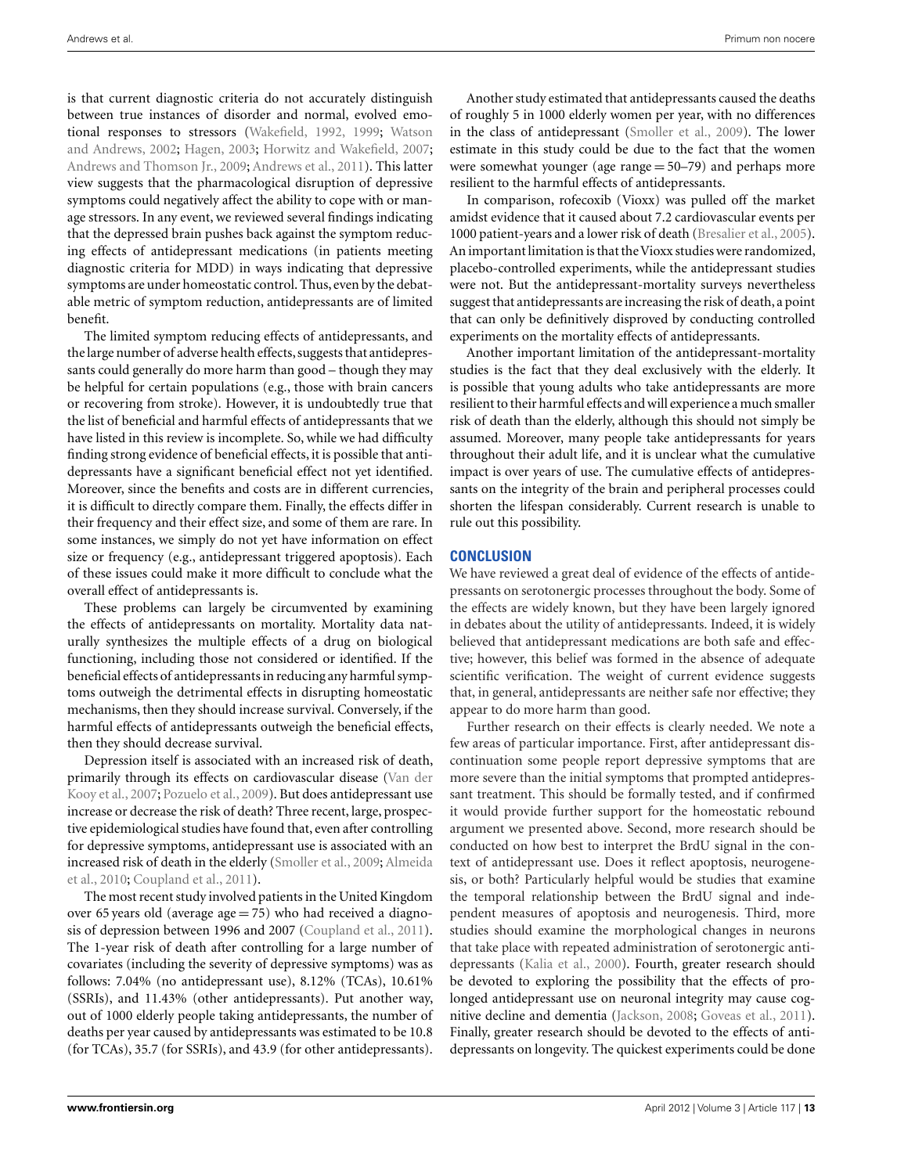is that current diagnostic criteria do not accurately distinguish between true instances of disorder and normal, evolved emotional respo[nses to stressors \(Wakefield, 1992, 1999;](#page-17-0) Watson and Andrews, [2002](#page-17-0); [Hagen](#page-15-0), [2003](#page-15-0); [Horwitz and Wakefield](#page-15-0), [2007;](#page-15-0) [Andrews and Thomson Jr.](#page-13-0), [2009](#page-13-0); [Andrews et al.](#page-13-0), [2011\)](#page-13-0). This latter view suggests that the pharmacological disruption of depressive symptoms could negatively affect the ability to cope with or manage stressors. In any event, we reviewed several findings indicating that the depressed brain pushes back against the symptom reducing effects of antidepressant medications (in patients meeting diagnostic criteria for MDD) in ways indicating that depressive symptoms are under homeostatic control. Thus, even by the debatable metric of symptom reduction, antidepressants are of limited benefit.

The limited symptom reducing effects of antidepressants, and the large number of adverse health effects, suggests that antidepressants could generally do more harm than good – though they may be helpful for certain populations (e.g., those with brain cancers or recovering from stroke). However, it is undoubtedly true that the list of beneficial and harmful effects of antidepressants that we have listed in this review is incomplete. So, while we had difficulty finding strong evidence of beneficial effects, it is possible that antidepressants have a significant beneficial effect not yet identified. Moreover, since the benefits and costs are in different currencies, it is difficult to directly compare them. Finally, the effects differ in their frequency and their effect size, and some of them are rare. In some instances, we simply do not yet have information on effect size or frequency (e.g., antidepressant triggered apoptosis). Each of these issues could make it more difficult to conclude what the overall effect of antidepressants is.

These problems can largely be circumvented by examining the effects of antidepressants on mortality. Mortality data naturally synthesizes the multiple effects of a drug on biological functioning, including those not considered or identified. If the beneficial effects of antidepressants in reducing any harmful symptoms outweigh the detrimental effects in disrupting homeostatic mechanisms, then they should increase survival. Conversely, if the harmful effects of antidepressants outweigh the beneficial effects, then they should decrease survival.

Depression itself is associated with an increased risk of death, primarily [through](#page-17-0) [its](#page-17-0) [effects](#page-17-0) [on](#page-17-0) [cardiovascular](#page-17-0) [disease](#page-17-0) [\(](#page-17-0)Van der Kooy et al., [2007](#page-17-0); [Pozuelo et al.](#page-16-0), [2009](#page-16-0)). But does antidepressant use increase or decrease the risk of death? Three recent, large, prospective epidemiological studies have found that, even after controlling for depressive symptoms, antidepressant use is associated with an incr[eased risk of death in the elderly](#page-13-0) [\(Smoller et al.](#page-17-0)[,](#page-13-0) [2009](#page-17-0)[;](#page-13-0) Almeida et al., [2010;](#page-13-0) [Coupland et al., 2011](#page-14-0)).

The most recent study involved patients in the United Kingdom over 65 years old (average  $age = 75$ ) who had received a diagnosis of depression between 1996 and 2007 [\(Coupland et al., 2011](#page-14-0)). The 1-year risk of death after controlling for a large number of covariates (including the severity of depressive symptoms) was as follows: 7.04% (no antidepressant use), 8.12% (TCAs), 10.61% (SSRIs), and 11.43% (other antidepressants). Put another way, out of 1000 elderly people taking antidepressants, the number of deaths per year caused by antidepressants was estimated to be 10.8 (for TCAs), 35.7 (for SSRIs), and 43.9 (for other antidepressants).

Another study estimated that antidepressants caused the deaths of roughly 5 in 1000 elderly women per year, with no differences in the class of antidepressant [\(Smoller et al.](#page-17-0), [2009](#page-17-0)). The lower estimate in this study could be due to the fact that the women were somewhat younger (age range = 50–79) and perhaps more resilient to the harmful effects of antidepressants.

In comparison, rofecoxib (Vioxx) was pulled off the market amidst evidence that it caused about 7.2 cardiovascular events per 1000 patient-years and a lower risk of death [\(Bresalier et al.](#page-14-0), [2005](#page-14-0)). An important limitation is that the Vioxx studies were randomized, placebo-controlled experiments, while the antidepressant studies were not. But the antidepressant-mortality surveys nevertheless suggest that antidepressants are increasing the risk of death, a point that can only be definitively disproved by conducting controlled experiments on the mortality effects of antidepressants.

Another important limitation of the antidepressant-mortality studies is the fact that they deal exclusively with the elderly. It is possible that young adults who take antidepressants are more resilient to their harmful effects and will experience a much smaller risk of death than the elderly, although this should not simply be assumed. Moreover, many people take antidepressants for years throughout their adult life, and it is unclear what the cumulative impact is over years of use. The cumulative effects of antidepressants on the integrity of the brain and peripheral processes could shorten the lifespan considerably. Current research is unable to rule out this possibility.

# **CONCLUSION**

We have reviewed a great deal of evidence of the effects of antidepressants on serotonergic processes throughout the body. Some of the effects are widely known, but they have been largely ignored in debates about the utility of antidepressants. Indeed, it is widely believed that antidepressant medications are both safe and effective; however, this belief was formed in the absence of adequate scientific verification. The weight of current evidence suggests that, in general, antidepressants are neither safe nor effective; they appear to do more harm than good.

Further research on their effects is clearly needed. We note a few areas of particular importance. First, after antidepressant discontinuation some people report depressive symptoms that are more severe than the initial symptoms that prompted antidepressant treatment. This should be formally tested, and if confirmed it would provide further support for the homeostatic rebound argument we presented above. Second, more research should be conducted on how best to interpret the BrdU signal in the context of antidepressant use. Does it reflect apoptosis, neurogenesis, or both? Particularly helpful would be studies that examine the temporal relationship between the BrdU signal and independent measures of apoptosis and neurogenesis. Third, more studies should examine the morphological changes in neurons that take place with repeated administration of serotonergic antidepressants [\(Kalia et al., 2000](#page-15-0)). Fourth, greater research should be devoted to exploring the possibility that the effects of prolonged antidepressant use on neuronal integrity may cause cognitive decline and dementia [\(Jackson, 2008;](#page-15-0) [Goveas et al.](#page-15-0), [2011](#page-15-0)). Finally, greater research should be devoted to the effects of antidepressants on longevity. The quickest experiments could be done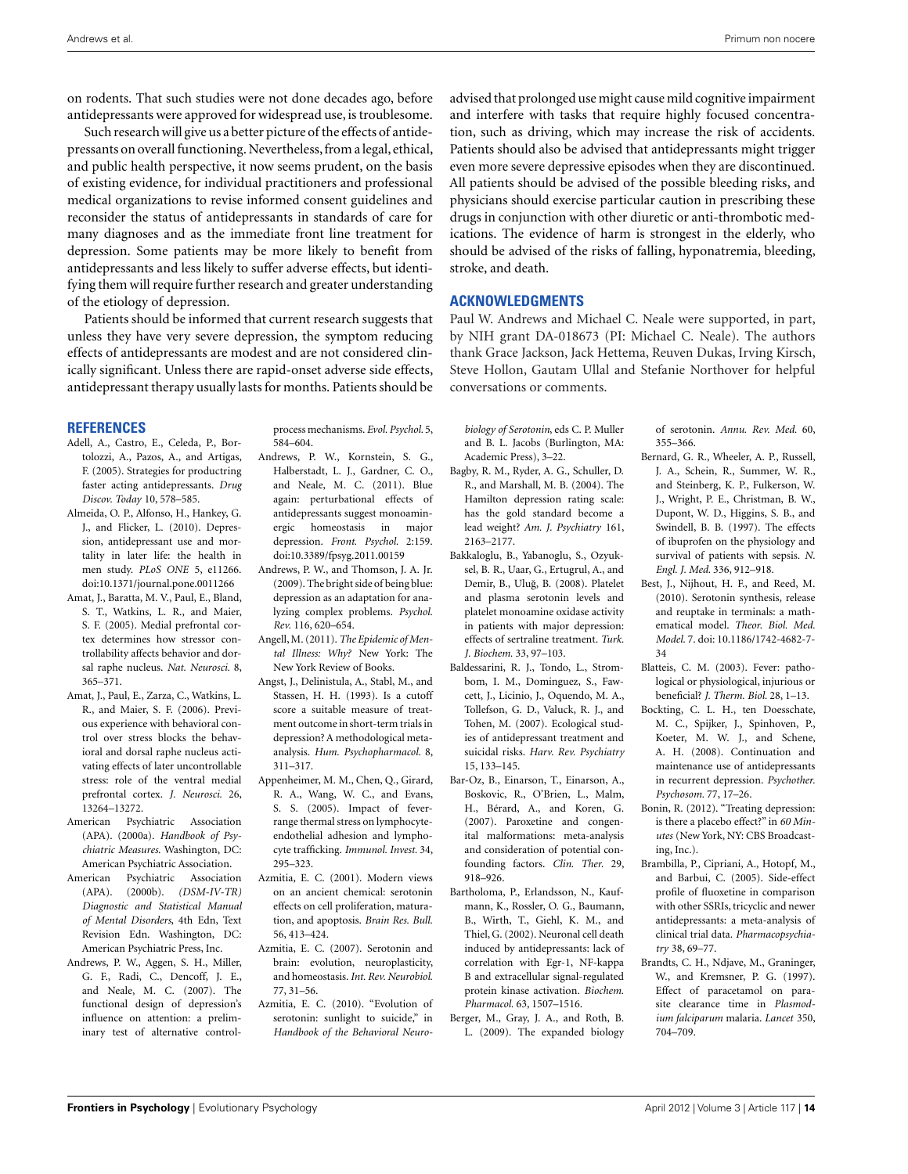<span id="page-13-0"></span>on rodents. That such studies were not done decades ago, before antidepressants were approved for widespread use, is troublesome.

Such research will give us a better picture of the effects of antidepressants on overall functioning. Nevertheless, from a legal, ethical, and public health perspective, it now seems prudent, on the basis of existing evidence, for individual practitioners and professional medical organizations to revise informed consent guidelines and reconsider the status of antidepressants in standards of care for many diagnoses and as the immediate front line treatment for depression. Some patients may be more likely to benefit from antidepressants and less likely to suffer adverse effects, but identifying them will require further research and greater understanding of the etiology of depression.

Patients should be informed that current research suggests that unless they have very severe depression, the symptom reducing effects of antidepressants are modest and are not considered clinically significant. Unless there are rapid-onset adverse side effects, antidepressant therapy usually lasts for months. Patients should be

#### **REFERENCES**

- Adell, A., Castro, E., Celeda, P., Bortolozzi, A., Pazos, A., and Artigas, F. (2005). Strategies for productring faster acting antidepressants. *Drug Discov. Today* 10, 578–585.
- Almeida, O. P., Alfonso, H., Hankey, G. J., and Flicker, L. (2010). Depression, antidepressant use and mortality in later life: the health in men study. *PLoS ONE* 5, e11266. doi[:10.1371/journal.pone.0011266](http://dx.doi.org/10.1371/journal.pone.0011266)
- Amat, J., Baratta, M. V., Paul, E., Bland, S. T., Watkins, L. R., and Maier, S. F. (2005). Medial prefrontal cortex determines how stressor controllability affects behavior and dorsal raphe nucleus. *Nat. Neurosci.* 8, 365–371.
- Amat, J., Paul, E., Zarza, C., Watkins, L. R., and Maier, S. F. (2006). Previous experience with behavioral control over stress blocks the behavioral and dorsal raphe nucleus activating effects of later uncontrollable stress: role of the ventral medial prefrontal cortex. *J. Neurosci.* 26, 13264–13272.
- American Psychiatric Association (APA). (2000a). *Handbook of Psychiatric Measures*. Washington, DC: American Psychiatric Association.
- American Psychiatric Association (APA). (2000b). *(DSM-IV-TR) Diagnostic and Statistical Manual of Mental Disorders*, 4th Edn, Text Revision Edn. Washington, DC: American Psychiatric Press, Inc.
- Andrews, P. W., Aggen, S. H., Miller, G. F., Radi, C., Dencoff, J. E., and Neale, M. C. (2007). The functional design of depression's influence on attention: a preliminary test of alternative control-

process mechanisms. *Evol. Psychol.* 5, 584–604.

- Andrews, P. W., Kornstein, S. G., Halberstadt, L. J., Gardner, C. O., and Neale, M. C. (2011). Blue again: perturbational effects of antidepressants suggest monoaminergic homeostasis in major depression. *Front. Psychol.* 2:159. doi[:10.3389/fpsyg.2011.00159](http://dx.doi.org/10.3389/fpsyg.2011.00159)
- Andrews, P. W., and Thomson, J. A. Jr. (2009). The bright side of being blue: depression as an adaptation for analyzing complex problems. *Psychol. Rev.* 116, 620–654.
- Angell,M. (2011). *The Epidemic of Mental Illness: Why?* New York: The New York Review of Books.
- Angst, J., Delinistula, A., Stabl, M., and Stassen, H. H. (1993). Is a cutoff score a suitable measure of treatment outcome in short-term trials in depression? A methodological metaanalysis. *Hum. Psychopharmacol.* 8, 311–317.
- Appenheimer, M. M., Chen, Q., Girard, R. A., Wang, W. C., and Evans, S. S. (2005). Impact of feverrange thermal stress on lymphocyteendothelial adhesion and lymphocyte trafficking. *Immunol. Invest.* 34, 295–323.
- Azmitia, E. C. (2001). Modern views on an ancient chemical: serotonin effects on cell proliferation, maturation, and apoptosis. *Brain Res. Bull.* 56, 413–424.
- Azmitia, E. C. (2007). Serotonin and brain: evolution, neuroplasticity, and homeostasis. *Int. Rev. Neurobiol.* 77, 31–56.
- Azmitia, E. C. (2010). "Evolution of serotonin: sunlight to suicide," in *Handbook of the Behavioral Neuro-*

advised that prolonged use might cause mild cognitive impairment and interfere with tasks that require highly focused concentration, such as driving, which may increase the risk of accidents. Patients should also be advised that antidepressants might trigger even more severe depressive episodes when they are discontinued. All patients should be advised of the possible bleeding risks, and physicians should exercise particular caution in prescribing these drugs in conjunction with other diuretic or anti-thrombotic medications. The evidence of harm is strongest in the elderly, who should be advised of the risks of falling, hyponatremia, bleeding, stroke, and death.

#### **ACKNOWLEDGMENTS**

Paul W. Andrews and Michael C. Neale were supported, in part, by NIH grant DA-018673 (PI: Michael C. Neale). The authors thank Grace Jackson, Jack Hettema, Reuven Dukas, Irving Kirsch, Steve Hollon, Gautam Ullal and Stefanie Northover for helpful conversations or comments.

*biology of Serotonin*, eds C. P. Muller and B. L. Jacobs (Burlington, MA: Academic Press), 3–22.

- Bagby, R. M., Ryder, A. G., Schuller, D. R., and Marshall, M. B. (2004). The Hamilton depression rating scale: has the gold standard become a lead weight? *Am. J. Psychiatry* 161, 2163–2177.
- Bakkaloglu, B., Yabanoglu, S., Ozyuksel, B. R., Uaar, G., Ertugrul, A., and Demir, B., Uluğ, B. (2008). Platelet and plasma serotonin levels and platelet monoamine oxidase activity in patients with major depression: effects of sertraline treatment. *Turk. J. Biochem.* 33, 97–103.
- Baldessarini, R. J., Tondo, L., Strombom, I. M., Dominguez, S., Fawcett, J., Licinio, J., Oquendo, M. A., Tollefson, G. D., Valuck, R. J., and Tohen, M. (2007). Ecological studies of antidepressant treatment and suicidal risks. *Harv. Rev. Psychiatry* 15, 133–145.
- Bar-Oz, B., Einarson, T., Einarson, A., Boskovic, R., O'Brien, L., Malm, H., Bérard, A., and Koren, G. (2007). Paroxetine and congenital malformations: meta-analysis and consideration of potential confounding factors. *Clin. Ther.* 29, 918–926.
- Bartholoma, P., Erlandsson, N., Kaufmann, K., Rossler, O. G., Baumann, B., Wirth, T., Giehl, K. M., and Thiel, G. (2002). Neuronal cell death induced by antidepressants: lack of correlation with Egr-1, NF-kappa B and extracellular signal-regulated protein kinase activation. *Biochem. Pharmacol.* 63, 1507–1516.
- Berger, M., Gray, J. A., and Roth, B. L. (2009). The expanded biology

of serotonin. *Annu. Rev. Med.* 60, 355–366.

- Bernard, G. R., Wheeler, A. P., Russell, J. A., Schein, R., Summer, W. R., and Steinberg, K. P., Fulkerson, W. J., Wright, P. E., Christman, B. W., Dupont, W. D., Higgins, S. B., and Swindell, B. B. (1997). The effects of ibuprofen on the physiology and survival of patients with sepsis. *N. Engl. J. Med.* 336, 912–918.
- Best, J., Nijhout, H. F., and Reed, M. (2010). Serotonin synthesis, release and reuptake in terminals: a mathematical model. *Theor. Biol. Med. Model.* 7. doi: 10.1186/1742-4682-7- 34
- Blatteis, C. M. (2003). Fever: pathological or physiological, injurious or beneficial? *J. Therm. Biol.* 28, 1–13.
- Bockting, C. L. H., ten Doesschate, M. C., Spijker, J., Spinhoven, P., Koeter, M. W. J., and Schene, A. H. (2008). Continuation and maintenance use of antidepressants in recurrent depression. *Psychother. Psychosom.* 77, 17–26.
- Bonin, R. (2012). "Treating depression: is there a placebo effect?" in *60 Minutes* (New York, NY: CBS Broadcasting, Inc.).
- Brambilla, P., Cipriani, A., Hotopf, M., and Barbui, C. (2005). Side-effect profile of fluoxetine in comparison with other SSRIs, tricyclic and newer antidepressants: a meta-analysis of clinical trial data. *Pharmacopsychiatry* 38, 69–77.
- Brandts, C. H., Ndjave, M., Graninger, W., and Kremsner, P. G. (1997). Effect of paracetamol on parasite clearance time in *Plasmodium falciparum* malaria. *Lancet* 350, 704–709.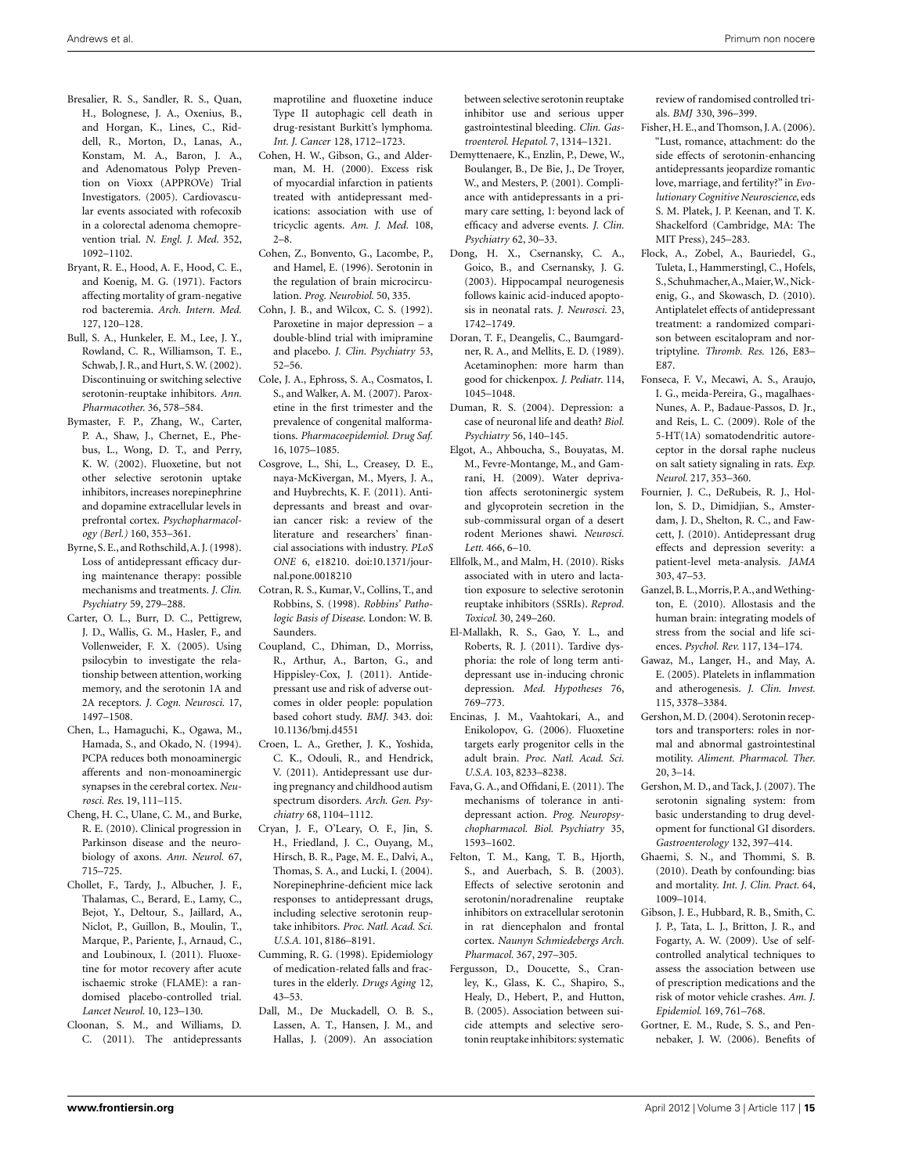- <span id="page-14-0"></span>Bresalier, R. S., Sandler, R. S., Quan, H., Bolognese, J. A., Oxenius, B., and Horgan, K., Lines, C., Riddell, R., Morton, D., Lanas, A., Konstam, M. A., Baron, J. A., and Adenomatous Polyp Prevention on Vioxx (APPROVe) Trial Investigators. (2005). Cardiovascular events associated with rofecoxib in a colorectal adenoma chemoprevention trial. *N. Engl. J. Med.* 352, 1092–1102.
- Bryant, R. E., Hood, A. F., Hood, C. E., and Koenig, M. G. (1971). Factors affecting mortality of gram-negative rod bacteremia. *Arch. Intern. Med.* 127, 120–128.
- Bull, S. A., Hunkeler, E. M., Lee, J. Y., Rowland, C. R., Williamson, T. E., Schwab, J. R., and Hurt, S.W. (2002). Discontinuing or switching selective serotonin-reuptake inhibitors. *Ann. Pharmacother.* 36, 578–584.
- Bymaster, F. P., Zhang, W., Carter, P. A., Shaw, J., Chernet, E., Phebus, L., Wong, D. T., and Perry, K. W. (2002). Fluoxetine, but not other selective serotonin uptake inhibitors, increases norepinephrine and dopamine extracellular levels in prefrontal cortex. *Psychopharmacology (Berl.)* 160, 353–361.
- Byrne, S. E., and Rothschild,A. J. (1998). Loss of antidepressant efficacy during maintenance therapy: possible mechanisms and treatments. *J. Clin. Psychiatry* 59, 279–288.
- Carter, O. L., Burr, D. C., Pettigrew, J. D., Wallis, G. M., Hasler, F., and Vollenweider, F. X. (2005). Using psilocybin to investigate the relationship between attention, working memory, and the serotonin 1A and 2A receptors. *J. Cogn. Neurosci.* 17, 1497–1508.
- Chen, L., Hamaguchi, K., Ogawa, M., Hamada, S., and Okado, N. (1994). PCPA reduces both monoaminergic afferents and non-monoaminergic synapses in the cerebral cortex. *Neurosci. Res.* 19, 111–115.
- Cheng, H. C., Ulane, C. M., and Burke, R. E. (2010). Clinical progression in Parkinson disease and the neurobiology of axons. *Ann. Neurol.* 67, 715–725.
- Chollet, F., Tardy, J., Albucher, J. F., Thalamas, C., Berard, E., Lamy, C., Bejot, Y., Deltour, S., Jaillard, A., Niclot, P., Guillon, B., Moulin, T., Marque, P., Pariente, J., Arnaud, C., and Loubinoux, I. (2011). Fluoxetine for motor recovery after acute ischaemic stroke (FLAME): a randomised placebo-controlled trial. *Lancet Neurol.* 10, 123–130.
- Cloonan, S. M., and Williams, D. C. (2011). The antidepressants

maprotiline and fluoxetine induce Type II autophagic cell death in drug-resistant Burkitt's lymphoma. *Int. J. Cancer* 128, 1712–1723.

- Cohen, H. W., Gibson, G., and Alderman, M. H. (2000). Excess risk of myocardial infarction in patients treated with antidepressant medications: association with use of tricyclic agents. *Am. J. Med.* 108, 2–8.
- Cohen, Z., Bonvento, G., Lacombe, P., and Hamel, E. (1996). Serotonin in the regulation of brain microcirculation. *Prog. Neurobiol.* 50, 335.
- Cohn, J. B., and Wilcox, C. S. (1992). Paroxetine in major depression – a double-blind trial with imipramine and placebo. *J. Clin. Psychiatry* 53, 52–56.
- Cole, J. A., Ephross, S. A., Cosmatos, I. S., and Walker, A. M. (2007). Paroxetine in the first trimester and the prevalence of congenital malformations. *Pharmacoepidemiol. Drug Saf.* 16, 1075–1085.
- Cosgrove, L., Shi, L., Creasey, D. E., naya-McKivergan, M., Myers, J. A., and Huybrechts, K. F. (2011). Antidepressants and breast and ovarian cancer risk: a review of the literature and researchers' financial associations with industry. *PLoS ONE* 6, e18210. doi:10.1371/journal.pone.0018210
- Cotran, R. S., Kumar, V., Collins, T., and Robbins, S. (1998). *Robbins' Pathologic Basis of Disease*. London: W. B. Saunders.
- Coupland, C., Dhiman, D., Morriss, R., Arthur, A., Barton, G., and Hippisley-Cox, J. (2011). Antidepressant use and risk of adverse outcomes in older people: population based cohort study. *BMJ.* 343. doi: 10.1136/bmj.d4551
- Croen, L. A., Grether, J. K., Yoshida, C. K., Odouli, R., and Hendrick, V. (2011). Antidepressant use during pregnancy and childhood autism spectrum disorders. *Arch. Gen. Psychiatry* 68, 1104–1112.
- Cryan, J. F., O'Leary, O. F., Jin, S. H., Friedland, J. C., Ouyang, M., Hirsch, B. R., Page, M. E., Dalvi, A., Thomas, S. A., and Lucki, I. (2004). Norepinephrine-deficient mice lack responses to antidepressant drugs, including selective serotonin reuptake inhibitors. *Proc. Natl. Acad. Sci. U.S.A.* 101, 8186–8191.
- Cumming, R. G. (1998). Epidemiology of medication-related falls and fractures in the elderly. *Drugs Aging* 12, 43–53.
- Dall, M., De Muckadell, O. B. S., Lassen, A. T., Hansen, J. M., and Hallas, J. (2009). An association

between selective serotonin reuptake inhibitor use and serious upper gastrointestinal bleeding. *Clin. Gastroenterol. Hepatol.* 7, 1314–1321.

- Demyttenaere, K., Enzlin, P., Dewe, W., Boulanger, B., De Bie, J., De Troyer, W., and Mesters, P. (2001). Compliance with antidepressants in a primary care setting, 1: beyond lack of efficacy and adverse events. *J. Clin. Psychiatry* 62, 30–33.
- Dong, H. X., Csernansky, C. A., Goico, B., and Csernansky, J. G. (2003). Hippocampal neurogenesis follows kainic acid-induced apoptosis in neonatal rats. *J. Neurosci.* 23, 1742–1749.
- Doran, T. F., Deangelis, C., Baumgardner, R. A., and Mellits, E. D. (1989). Acetaminophen: more harm than good for chickenpox. *J. Pediatr.* 114, 1045–1048.
- Duman, R. S. (2004). Depression: a case of neuronal life and death? *Biol. Psychiatry* 56, 140–145.
- Elgot, A., Ahboucha, S., Bouyatas, M. M., Fevre-Montange, M., and Gamrani, H. (2009). Water deprivation affects serotoninergic system and glycoprotein secretion in the sub-commissural organ of a desert rodent Meriones shawi. *Neurosci. Lett.* 466, 6–10.
- Ellfolk, M., and Malm, H. (2010). Risks associated with in utero and lactation exposure to selective serotonin reuptake inhibitors (SSRIs). *Reprod. Toxicol.* 30, 249–260.
- El-Mallakh, R. S., Gao, Y. L., and Roberts, R. J. (2011). Tardive dysphoria: the role of long term antidepressant use in-inducing chronic depression. *Med. Hypotheses* 76, 769–773.
- Encinas, J. M., Vaahtokari, A., and Enikolopov, G. (2006). Fluoxetine targets early progenitor cells in the adult brain. *Proc. Natl. Acad. Sci. U.S.A.* 103, 8233–8238.
- Fava, G. A., and Offidani, E. (2011). The mechanisms of tolerance in antidepressant action. *Prog. Neuropsychopharmacol. Biol. Psychiatry* 35, 1593–1602.
- Felton, T. M., Kang, T. B., Hjorth, S., and Auerbach, S. B. (2003). Effects of selective serotonin and serotonin/noradrenaline reuptake inhibitors on extracellular serotonin in rat diencephalon and frontal cortex. *Naunyn Schmiedebergs Arch. Pharmacol.* 367, 297–305.
- Fergusson, D., Doucette, S., Cranley, K., Glass, K. C., Shapiro, S., Healy, D., Hebert, P., and Hutton, B. (2005). Association between suicide attempts and selective serotonin reuptake inhibitors: systematic

review of randomised controlled trials. *BMJ* 330, 396–399.

- Fisher, H. E., and Thomson, J. A. (2006). "Lust, romance, attachment: do the side effects of serotonin-enhancing antidepressants jeopardize romantic love, marriage, and fertility?" in *Evolutionary Cognitive Neuroscience*, eds S. M. Platek, J. P. Keenan, and T. K. Shackelford (Cambridge, MA: The MIT Press), 245–283.
- Flock, A., Zobel, A., Bauriedel, G., Tuleta, I., Hammerstingl, C., Hofels, S.,Schuhmacher,A.,Maier,W.,Nickenig, G., and Skowasch, D. (2010). Antiplatelet effects of antidepressant treatment: a randomized comparison between escitalopram and nortriptyline. *Thromb. Res.* 126, E83– E87.
- Fonseca, F. V., Mecawi, A. S., Araujo, I. G., meida-Pereira, G., magalhaes-Nunes, A. P., Badaue-Passos, D. Jr., and Reis, L. C. (2009). Role of the 5-HT(1A) somatodendritic autoreceptor in the dorsal raphe nucleus on salt satiety signaling in rats. *Exp. Neurol.* 217, 353–360.
- Fournier, J. C., DeRubeis, R. J., Hollon, S. D., Dimidjian, S., Amsterdam, J. D., Shelton, R. C., and Fawcett, J. (2010). Antidepressant drug effects and depression severity: a patient-level meta-analysis. *JAMA* 303, 47–53.
- Ganzel, B. L., Morris, P. A., and Wethington, E. (2010). Allostasis and the human brain: integrating models of stress from the social and life sciences. *Psychol. Rev.* 117, 134–174.
- Gawaz, M., Langer, H., and May, A. E. (2005). Platelets in inflammation and atherogenesis. *J. Clin. Invest.* 115, 3378–3384.
- Gershon,M. D. (2004). Serotonin receptors and transporters: roles in normal and abnormal gastrointestinal motility. *Aliment. Pharmacol. Ther.* 20, 3–14.
- Gershon, M. D., and Tack, J. (2007). The serotonin signaling system: from basic understanding to drug development for functional GI disorders. *Gastroenterology* 132, 397–414.
- Ghaemi, S. N., and Thommi, S. B. (2010). Death by confounding: bias and mortality. *Int. J. Clin. Pract.* 64, 1009–1014.
- Gibson, J. E., Hubbard, R. B., Smith, C. J. P., Tata, L. J., Britton, J. R., and Fogarty, A. W. (2009). Use of selfcontrolled analytical techniques to assess the association between use of prescription medications and the risk of motor vehicle crashes. *Am. J. Epidemiol.* 169, 761–768.
- Gortner, E. M., Rude, S. S., and Pennebaker, J. W. (2006). Benefits of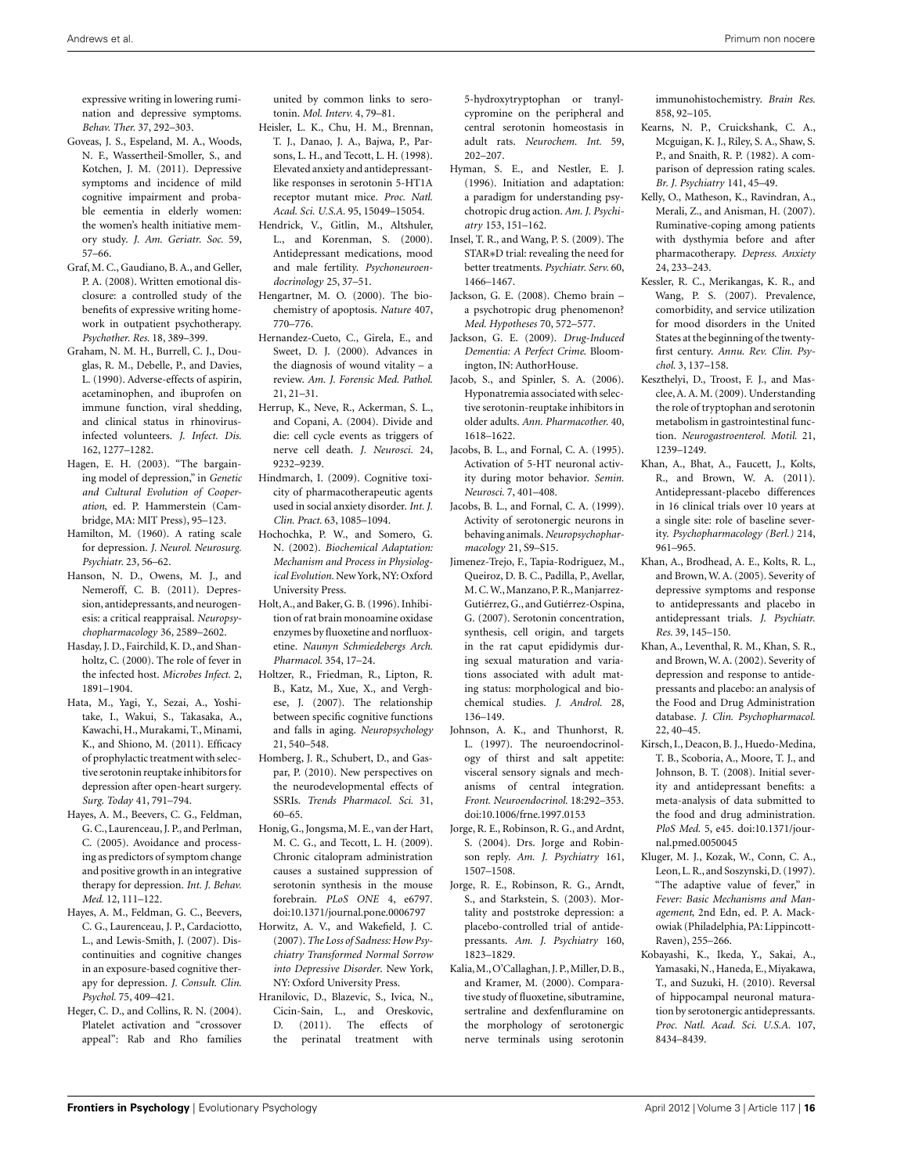<span id="page-15-0"></span>Andrews et al. Primum non nocere

expressive writing in lowering rumination and depressive symptoms. *Behav. Ther.* 37, 292–303.

- Goveas, J. S., Espeland, M. A., Woods, N. F., Wassertheil-Smoller, S., and Kotchen, J. M. (2011). Depressive symptoms and incidence of mild cognitive impairment and probable eementia in elderly women: the women's health initiative memory study. *J. Am. Geriatr. Soc.* 59, 57–66.
- Graf, M. C., Gaudiano, B. A., and Geller, P. A. (2008). Written emotional disclosure: a controlled study of the benefits of expressive writing homework in outpatient psychotherapy. *Psychother. Res.* 18, 389–399.
- Graham, N. M. H., Burrell, C. J., Douglas, R. M., Debelle, P., and Davies, L. (1990). Adverse-effects of aspirin, acetaminophen, and ibuprofen on immune function, viral shedding, and clinical status in rhinovirusinfected volunteers. *J. Infect. Dis.* 162, 1277–1282.
- Hagen, E. H. (2003). "The bargaining model of depression," in *Genetic and Cultural Evolution of Cooperation*, ed. P. Hammerstein (Cambridge, MA: MIT Press), 95–123.
- Hamilton, M. (1960). A rating scale for depression. *J. Neurol. Neurosurg. Psychiatr.* 23, 56–62.
- Hanson, N. D., Owens, M. J., and Nemeroff, C. B. (2011). Depression, antidepressants, and neurogenesis: a critical reappraisal. *Neuropsychopharmacology* 36, 2589–2602.
- Hasday, J. D., Fairchild, K. D., and Shanholtz, C. (2000). The role of fever in the infected host. *Microbes Infect.* 2, 1891–1904.
- Hata, M., Yagi, Y., Sezai, A., Yoshitake, I., Wakui, S., Takasaka, A., Kawachi, H., Murakami, T., Minami, K., and Shiono, M. (2011). Efficacy of prophylactic treatment with selective serotonin reuptake inhibitors for depression after open-heart surgery. *Surg. Today* 41, 791–794.
- Hayes, A. M., Beevers, C. G., Feldman, G. C., Laurenceau, J. P., and Perlman, C. (2005). Avoidance and processing as predictors of symptom change and positive growth in an integrative therapy for depression. *Int. J. Behav. Med.* 12, 111–122.
- Hayes, A. M., Feldman, G. C., Beevers, C. G., Laurenceau, J. P., Cardaciotto, L., and Lewis-Smith, J. (2007). Discontinuities and cognitive changes in an exposure-based cognitive therapy for depression. *J. Consult. Clin. Psychol.* 75, 409–421.
- Heger, C. D., and Collins, R. N. (2004). Platelet activation and "crossover appeal": Rab and Rho families

united by common links to serotonin. *Mol. Interv.* 4, 79–81.

- Heisler, L. K., Chu, H. M., Brennan, T. J., Danao, J. A., Bajwa, P., Parsons, L. H., and Tecott, L. H. (1998). Elevated anxiety and antidepressantlike responses in serotonin 5-HT1A receptor mutant mice. *Proc. Natl. Acad. Sci. U.S.A.* 95, 15049–15054.
- Hendrick, V., Gitlin, M., Altshuler, L., and Korenman, S. (2000). Antidepressant medications, mood and male fertility. *Psychoneuroendocrinology* 25, 37–51.
- Hengartner, M. O. (2000). The biochemistry of apoptosis. *Nature* 407, 770–776.
- Hernandez-Cueto, C., Girela, E., and Sweet, D. J. (2000). Advances in the diagnosis of wound vitality – a review. *Am. J. Forensic Med. Pathol.* 21, 21–31.
- Herrup, K., Neve, R., Ackerman, S. L., and Copani, A. (2004). Divide and die: cell cycle events as triggers of nerve cell death. *J. Neurosci.* 24, 9232–9239.
- Hindmarch, I. (2009). Cognitive toxicity of pharmacotherapeutic agents used in social anxiety disorder. *Int. J. Clin. Pract.* 63, 1085–1094.
- Hochochka, P. W., and Somero, G. N. (2002). *Biochemical Adaptation: Mechanism and Process in Physiological Evolution*. New York, NY: Oxford University Press.
- Holt,A., and Baker, G. B. (1996). Inhibition of rat brain monoamine oxidase enzymes by fluoxetine and norfluoxetine. *Naunyn Schmiedebergs Arch. Pharmacol.* 354, 17–24.
- Holtzer, R., Friedman, R., Lipton, R. B., Katz, M., Xue, X., and Verghese, J. (2007). The relationship between specific cognitive functions and falls in aging. *Neuropsychology* 21, 540–548.
- Homberg, J. R., Schubert, D., and Gaspar, P. (2010). New perspectives on the neurodevelopmental effects of SSRIs. *Trends Pharmacol. Sci.* 31, 60–65.
- Honig, G., Jongsma, M. E., van der Hart, M. C. G., and Tecott, L. H. (2009). Chronic citalopram administration causes a sustained suppression of serotonin synthesis in the mouse forebrain. *PLoS ONE* 4, e6797. doi[:10.1371/journal.pone.0006797](http://dx.doi.org/10.1371/journal.pone.0006797)
- Horwitz, A. V., and Wakefield, J. C. (2007).*The Loss of Sadness: How Psychiatry Transformed Normal Sorrow into Depressive Disorder*. New York, NY: Oxford University Press.
- Hranilovic, D., Blazevic, S., Ivica, N., Cicin-Sain, L., and Oreskovic, D. (2011). The effects of the perinatal treatment with

5-hydroxytryptophan or tranylcypromine on the peripheral and central serotonin homeostasis in adult rats. *Neurochem. Int.* 59, 202–207.

- Hyman, S. E., and Nestler, E. J. (1996). Initiation and adaptation: a paradigm for understanding psychotropic drug action. *Am. J. Psychiatry* 153, 151–162.
- Insel, T. R., and Wang, P. S. (2009). The STAR∗D trial: revealing the need for better treatments. *Psychiatr. Serv.* 60, 1466–1467.
- Jackson, G. E. (2008). Chemo brain a psychotropic drug phenomenon? *Med. Hypotheses* 70, 572–577.
- Jackson, G. E. (2009). *Drug-Induced Dementia: A Perfect Crime*. Bloomington, IN: AuthorHouse.
- Jacob, S., and Spinler, S. A. (2006). Hyponatremia associated with selective serotonin-reuptake inhibitors in older adults. *Ann. Pharmacother.* 40, 1618–1622.
- Jacobs, B. L., and Fornal, C. A. (1995). Activation of 5-HT neuronal activity during motor behavior. *Semin. Neurosci.* 7, 401–408.
- Jacobs, B. L., and Fornal, C. A. (1999). Activity of serotonergic neurons in behaving animals. *Neuropsychopharmacology* 21, S9–S15.
- Jimenez-Trejo, F., Tapia-Rodriguez, M., Queiroz, D. B. C., Padilla, P., Avellar, M. C.W., Manzano, P. R., Manjarrez-Gutiérrez, G., and Gutiérrez-Ospina, G. (2007). Serotonin concentration, synthesis, cell origin, and targets in the rat caput epididymis during sexual maturation and variations associated with adult mating status: morphological and biochemical studies. *J. Androl.* 28, 136–149.
- Johnson, A. K., and Thunhorst, R. L. (1997). The neuroendocrinology of thirst and salt appetite: visceral sensory signals and mechanisms of central integration. *Front. Neuroendocrinol.* 18:292–353. doi[:10.1006/frne.1997.0153](http://dx.doi.org/10.1006/frne.1997.0153)
- Jorge, R. E., Robinson, R. G., and Ardnt, S. (2004). Drs. Jorge and Robinson reply. *Am. J. Psychiatry* 161, 1507–1508.
- Jorge, R. E., Robinson, R. G., Arndt, S., and Starkstein, S. (2003). Mortality and poststroke depression: a placebo-controlled trial of antidepressants. *Am. J. Psychiatry* 160, 1823–1829.
- Kalia,M.,O'Callaghan, J. P.,Miller,D. B., and Kramer, M. (2000). Comparative study of fluoxetine, sibutramine, sertraline and dexfenfluramine on the morphology of serotonergic nerve terminals using serotonin

immunohistochemistry. *Brain Res.* 858, 92–105.

- Kearns, N. P., Cruickshank, C. A., Mcguigan, K. J., Riley, S. A., Shaw, S. P., and Snaith, R. P. (1982). A comparison of depression rating scales. *Br. J. Psychiatry* 141, 45–49.
- Kelly, O., Matheson, K., Ravindran, A., Merali, Z., and Anisman, H. (2007). Ruminative-coping among patients with dysthymia before and after pharmacotherapy. *Depress. Anxiety* 24, 233–243.
- Kessler, R. C., Merikangas, K. R., and Wang, P. S. (2007). Prevalence, comorbidity, and service utilization for mood disorders in the United States at the beginning of the twentyfirst century. *Annu. Rev. Clin. Psychol.* 3, 137–158.
- Keszthelyi, D., Troost, F. J., and Masclee, A. A. M. (2009). Understanding the role of tryptophan and serotonin metabolism in gastrointestinal function. *Neurogastroenterol. Motil.* 21, 1239–1249.
- Khan, A., Bhat, A., Faucett, J., Kolts, R., and Brown, W. A. (2011). Antidepressant-placebo differences in 16 clinical trials over 10 years at a single site: role of baseline severity. *Psychopharmacology (Berl.)* 214, 961–965.
- Khan, A., Brodhead, A. E., Kolts, R. L., and Brown,W. A. (2005). Severity of depressive symptoms and response to antidepressants and placebo in antidepressant trials. *J. Psychiatr. Res.* 39, 145–150.
- Khan, A., Leventhal, R. M., Khan, S. R., and Brown,W. A. (2002). Severity of depression and response to antidepressants and placebo: an analysis of the Food and Drug Administration database. *J. Clin. Psychopharmacol.* 22, 40–45.
- Kirsch, I., Deacon, B. J., Huedo-Medina, T. B., Scoboria, A., Moore, T. J., and Johnson, B. T. (2008). Initial severity and antidepressant benefits: a meta-analysis of data submitted to the food and drug administration. *PloS Med.* 5, e45. doi:10.1371/journal.pmed.0050045
- Kluger, M. J., Kozak, W., Conn, C. A., Leon, L. R., and Soszynski, D. (1997). "The adaptive value of fever," in *Fever: Basic Mechanisms and Management*, 2nd Edn, ed. P. A. Mackowiak (Philadelphia, PA: Lippincott-Raven), 255–266.
- Kobayashi, K., Ikeda, Y., Sakai, A., Yamasaki, N., Haneda, E., Miyakawa, T., and Suzuki, H. (2010). Reversal of hippocampal neuronal maturation by serotonergic antidepressants. *Proc. Natl. Acad. Sci. U.S.A.* 107, 8434–8439.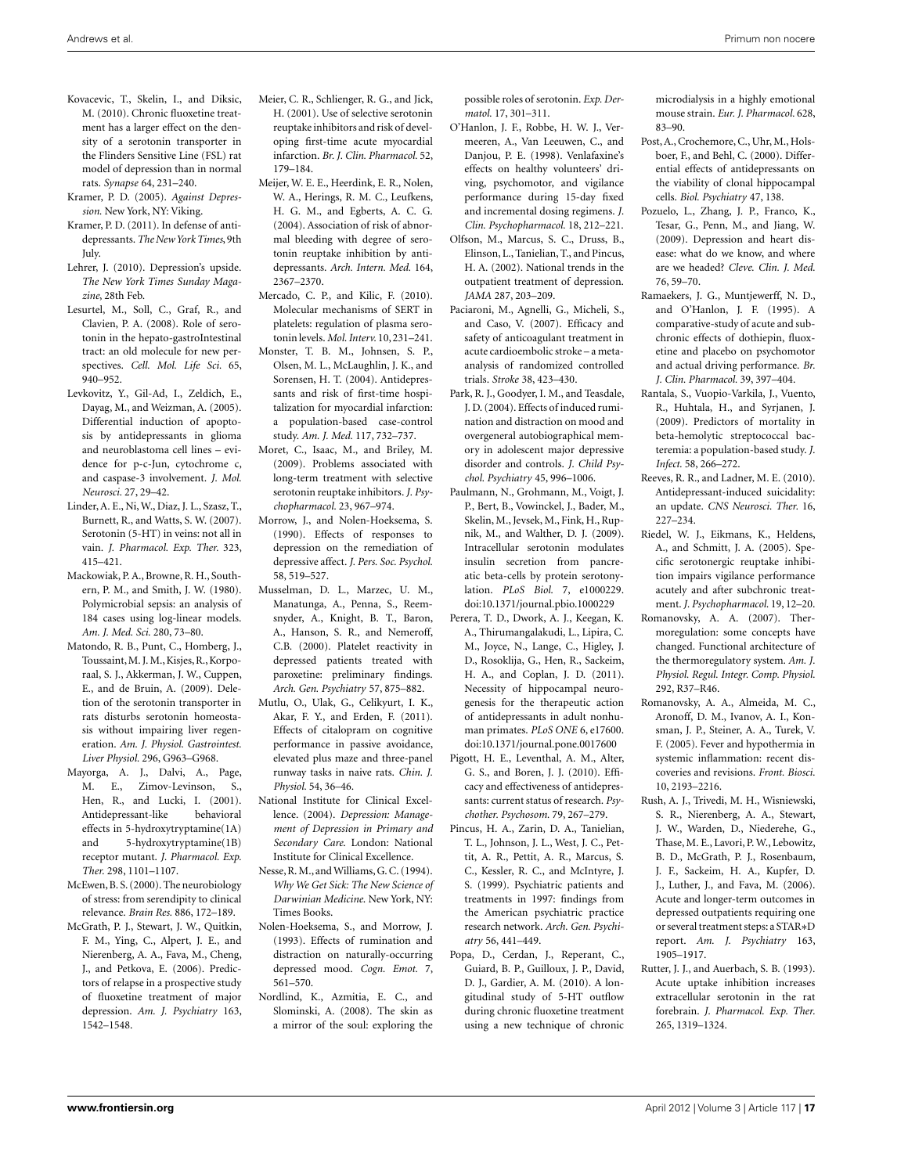- <span id="page-16-0"></span>Kovacevic, T., Skelin, I., and Diksic, M. (2010). Chronic fluoxetine treatment has a larger effect on the density of a serotonin transporter in the Flinders Sensitive Line (FSL) rat model of depression than in normal rats. *Synapse* 64, 231–240.
- Kramer, P. D. (2005). *Against Depression.* New York, NY: Viking.
- Kramer, P. D. (2011). In defense of antidepressants.*The New York Times*, 9th July.
- Lehrer, J. (2010). Depression's upside. *The New York Times Sunday Magazine*, 28th Feb.
- Lesurtel, M., Soll, C., Graf, R., and Clavien, P. A. (2008). Role of serotonin in the hepato-gastroIntestinal tract: an old molecule for new perspectives. *Cell. Mol. Life Sci.* 65, 940–952.
- Levkovitz, Y., Gil-Ad, I., Zeldich, E., Dayag, M., and Weizman, A. (2005). Differential induction of apoptosis by antidepressants in glioma and neuroblastoma cell lines – evidence for p-c-Jun, cytochrome c, and caspase-3 involvement. *J. Mol. Neurosci.* 27, 29–42.
- Linder, A. E., Ni,W., Diaz, J. L., Szasz, T., Burnett, R., and Watts, S. W. (2007). Serotonin (5-HT) in veins: not all in vain. *J. Pharmacol. Exp. Ther.* 323, 415–421.
- Mackowiak, P. A., Browne, R. H., Southern, P. M., and Smith, J. W. (1980). Polymicrobial sepsis: an analysis of 184 cases using log-linear models. *Am. J. Med. Sci.* 280, 73–80.
- Matondo, R. B., Punt, C., Homberg, J., Toussaint,M. J.M.,Kisjes,R.,Korporaal, S. J., Akkerman, J. W., Cuppen, E., and de Bruin, A. (2009). Deletion of the serotonin transporter in rats disturbs serotonin homeostasis without impairing liver regeneration. *Am. J. Physiol. Gastrointest. Liver Physiol.* 296, G963–G968.
- Mayorga, A. J., Dalvi, A., Page, M. E., Zimov-Levinson, S., Hen, R., and Lucki, I. (2001). Antidepressant-like behavioral effects in 5-hydroxytryptamine(1A) and 5-hydroxytryptamine(1B) receptor mutant. *J. Pharmacol. Exp. Ther.* 298, 1101–1107.
- McEwen,B. S. (2000). The neurobiology of stress: from serendipity to clinical relevance. *Brain Res.* 886, 172–189.
- McGrath, P. J., Stewart, J. W., Quitkin, F. M., Ying, C., Alpert, J. E., and Nierenberg, A. A., Fava, M., Cheng, J., and Petkova, E. (2006). Predictors of relapse in a prospective study of fluoxetine treatment of major depression. *Am. J. Psychiatry* 163, 1542–1548.
- Meier, C. R., Schlienger, R. G., and Jick, H. (2001). Use of selective serotonin reuptake inhibitors and risk of developing first-time acute myocardial infarction. *Br. J. Clin. Pharmacol.* 52, 179–184.
- Meijer, W. E. E., Heerdink, E. R., Nolen, W. A., Herings, R. M. C., Leufkens, H. G. M., and Egberts, A. C. G. (2004). Association of risk of abnormal bleeding with degree of serotonin reuptake inhibition by antidepressants. *Arch. Intern. Med.* 164, 2367–2370.
- Mercado, C. P., and Kilic, F. (2010). Molecular mechanisms of SERT in platelets: regulation of plasma serotonin levels. *Mol. Interv.* 10,231–241.
- Monster, T. B. M., Johnsen, S. P., Olsen, M. L., McLaughlin, J. K., and Sorensen, H. T. (2004). Antidepressants and risk of first-time hospitalization for myocardial infarction: a population-based case-control study. *Am. J. Med.* 117, 732–737.
- Moret, C., Isaac, M., and Briley, M. (2009). Problems associated with long-term treatment with selective serotonin reuptake inhibitors. *J. Psychopharmacol.* 23, 967–974.
- Morrow, J., and Nolen-Hoeksema, S. (1990). Effects of responses to depression on the remediation of depressive affect. *J. Pers. Soc. Psychol.* 58, 519–527.
- Musselman, D. L., Marzec, U. M., Manatunga, A., Penna, S., Reemsnyder, A., Knight, B. T., Baron, A., Hanson, S. R., and Nemeroff, C.B. (2000). Platelet reactivity in depressed patients treated with paroxetine: preliminary findings. *Arch. Gen. Psychiatry* 57, 875–882.
- Mutlu, O., Ulak, G., Celikyurt, I. K., Akar, F. Y., and Erden, F. (2011). Effects of citalopram on cognitive performance in passive avoidance, elevated plus maze and three-panel runway tasks in naive rats. *Chin. J. Physiol.* 54, 36–46.
- National Institute for Clinical Excellence. (2004). *Depression: Management of Depression in Primary and Secondary Care*. London: National Institute for Clinical Excellence.
- Nesse,R.M., andWilliams, G. C. (1994). *Why We Get Sick: The New Science of Darwinian Medicine*. New York, NY: Times Books.
- Nolen-Hoeksema, S., and Morrow, J. (1993). Effects of rumination and distraction on naturally-occurring depressed mood. *Cogn. Emot.* 7, 561–570.
- Nordlind, K., Azmitia, E. C., and Slominski, A. (2008). The skin as a mirror of the soul: exploring the

possible roles of serotonin. *Exp. Dermatol.* 17, 301–311.

- O'Hanlon, J. F., Robbe, H. W. J., Vermeeren, A., Van Leeuwen, C., and Danjou, P. E. (1998). Venlafaxine's effects on healthy volunteers' driving, psychomotor, and vigilance performance during 15-day fixed and incremental dosing regimens. *J. Clin. Psychopharmacol.* 18, 212–221.
- Olfson, M., Marcus, S. C., Druss, B., Elinson, L., Tanielian, T., and Pincus, H. A. (2002). National trends in the outpatient treatment of depression. *JAMA* 287, 203–209.
- Paciaroni, M., Agnelli, G., Micheli, S., and Caso, V. (2007). Efficacy and safety of anticoagulant treatment in acute cardioembolic stroke – a metaanalysis of randomized controlled trials. *Stroke* 38, 423–430.
- Park, R. J., Goodyer, I. M., and Teasdale, J. D. (2004). Effects of induced rumination and distraction on mood and overgeneral autobiographical memory in adolescent major depressive disorder and controls. *J. Child Psychol. Psychiatry* 45, 996–1006.
- Paulmann, N., Grohmann, M., Voigt, J. P., Bert, B., Vowinckel, J., Bader, M., Skelin, M., Jevsek, M., Fink, H., Rupnik, M., and Walther, D. J. (2009). Intracellular serotonin modulates insulin secretion from pancreatic beta-cells by protein serotonylation. *PLoS Biol.* 7, e1000229. doi[:10.1371/journal.pbio.1000229](http://dx.doi.org/10.1371/journal.pbio.1000229)
- Perera, T. D., Dwork, A. J., Keegan, K. A., Thirumangalakudi, L., Lipira, C. M., Joyce, N., Lange, C., Higley, J. D., Rosoklija, G., Hen, R., Sackeim, H. A., and Coplan, J. D. (2011). Necessity of hippocampal neurogenesis for the therapeutic action of antidepressants in adult nonhuman primates. *PLoS ONE* 6, e17600. doi[:10.1371/journal.pone.0017600](http://dx.doi.org/10.1371/journal.pone.0017600)
- Pigott, H. E., Leventhal, A. M., Alter, G. S., and Boren, J. J. (2010). Efficacy and effectiveness of antidepressants: current status of research. *Psychother. Psychosom.* 79, 267–279.
- Pincus, H. A., Zarin, D. A., Tanielian, T. L., Johnson, J. L., West, J. C., Pettit, A. R., Pettit, A. R., Marcus, S. C., Kessler, R. C., and McIntyre, J. S. (1999). Psychiatric patients and treatments in 1997: findings from the American psychiatric practice research network. *Arch. Gen. Psychiatry* 56, 441–449.
- Popa, D., Cerdan, J., Reperant, C., Guiard, B. P., Guilloux, J. P., David, D. J., Gardier, A. M. (2010). A longitudinal study of 5-HT outflow during chronic fluoxetine treatment using a new technique of chronic

microdialysis in a highly emotional mouse strain. *Eur. J. Pharmacol.* 628, 83–90.

- Post, A., Crochemore, C., Uhr, M., Holsboer, F., and Behl, C. (2000). Differential effects of antidepressants on the viability of clonal hippocampal cells. *Biol. Psychiatry* 47, 138.
- Pozuelo, L., Zhang, J. P., Franco, K., Tesar, G., Penn, M., and Jiang, W. (2009). Depression and heart disease: what do we know, and where are we headed? *Cleve. Clin. J. Med.* 76, 59–70.
- Ramaekers, J. G., Muntjewerff, N. D., and O'Hanlon, J. F. (1995). A comparative-study of acute and subchronic effects of dothiepin, fluoxetine and placebo on psychomotor and actual driving performance. *Br. J. Clin. Pharmacol.* 39, 397–404.
- Rantala, S., Vuopio-Varkila, J., Vuento, R., Huhtala, H., and Syrjanen, J. (2009). Predictors of mortality in beta-hemolytic streptococcal bacteremia: a population-based study. *J. Infect.* 58, 266–272.
- Reeves, R. R., and Ladner, M. E. (2010). Antidepressant-induced suicidality: an update. *CNS Neurosci. Ther.* 16, 227–234.
- Riedel, W. J., Eikmans, K., Heldens, A., and Schmitt, J. A. (2005). Specific serotonergic reuptake inhibition impairs vigilance performance acutely and after subchronic treatment. *J. Psychopharmacol.* 19, 12–20.
- Romanovsky, A. A. (2007). Thermoregulation: some concepts have changed. Functional architecture of the thermoregulatory system. *Am. J. Physiol. Regul. Integr. Comp. Physiol.* 292, R37–R46.
- Romanovsky, A. A., Almeida, M. C., Aronoff, D. M., Ivanov, A. I., Konsman, J. P., Steiner, A. A., Turek, V. F. (2005). Fever and hypothermia in systemic inflammation: recent discoveries and revisions. *Front. Biosci.* 10, 2193–2216.
- Rush, A. J., Trivedi, M. H., Wisniewski, S. R., Nierenberg, A. A., Stewart, J. W., Warden, D., Niederehe, G., Thase, M. E., Lavori, P. W., Lebowitz, B. D., McGrath, P. J., Rosenbaum, J. F., Sackeim, H. A., Kupfer, D. J., Luther, J., and Fava, M. (2006). Acute and longer-term outcomes in depressed outpatients requiring one or several treatment steps: a STAR∗D report. *Am. J. Psychiatry* 163, 1905–1917.
- Rutter, J. J., and Auerbach, S. B. (1993). Acute uptake inhibition increases extracellular serotonin in the rat forebrain. *J. Pharmacol. Exp. Ther.* 265, 1319–1324.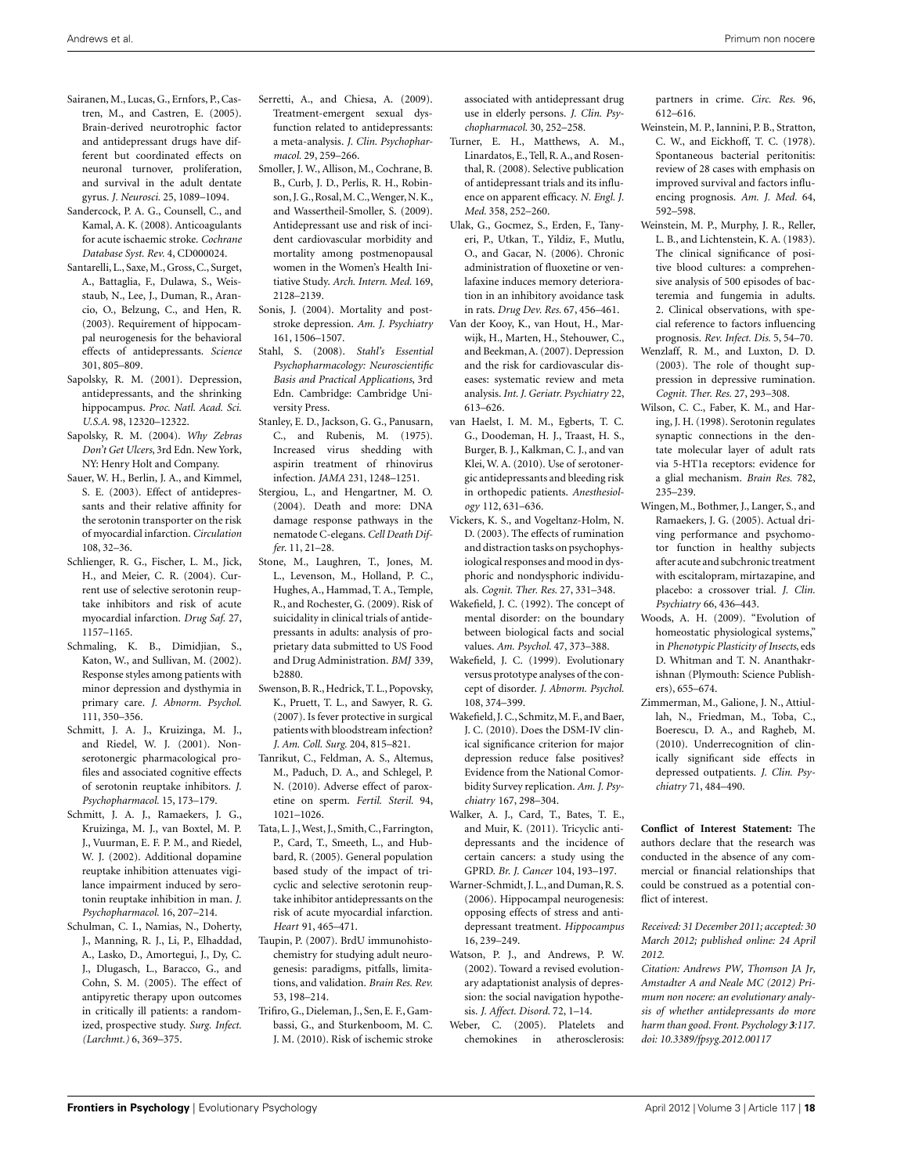- <span id="page-17-0"></span>Sairanen, M., Lucas, G., Ernfors, P., Castren, M., and Castren, E. (2005). Brain-derived neurotrophic factor and antidepressant drugs have different but coordinated effects on neuronal turnover, proliferation, and survival in the adult dentate gyrus. *J. Neurosci.* 25, 1089–1094.
- Sandercock, P. A. G., Counsell, C., and Kamal, A. K. (2008). Anticoagulants for acute ischaemic stroke. *Cochrane Database Syst. Rev.* 4, CD000024.
- Santarelli, L., Saxe, M., Gross, C., Surget, A., Battaglia, F., Dulawa, S., Weisstaub, N., Lee, J., Duman, R., Arancio, O., Belzung, C., and Hen, R. (2003). Requirement of hippocampal neurogenesis for the behavioral effects of antidepressants. *Science* 301, 805–809.
- Sapolsky, R. M. (2001). Depression, antidepressants, and the shrinking hippocampus. *Proc. Natl. Acad. Sci. U.S.A.* 98, 12320–12322.
- Sapolsky, R. M. (2004). *Why Zebras Don't Get Ulcers*, 3rd Edn. New York, NY: Henry Holt and Company.
- Sauer, W. H., Berlin, J. A., and Kimmel, S. E. (2003). Effect of antidepressants and their relative affinity for the serotonin transporter on the risk of myocardial infarction. *Circulation* 108, 32–36.
- Schlienger, R. G., Fischer, L. M., Jick, H., and Meier, C. R. (2004). Current use of selective serotonin reuptake inhibitors and risk of acute myocardial infarction. *Drug Saf.* 27, 1157–1165.
- Schmaling, K. B., Dimidjian, S., Katon, W., and Sullivan, M. (2002). Response styles among patients with minor depression and dysthymia in primary care. *J. Abnorm. Psychol.* 111, 350–356.
- Schmitt, J. A. J., Kruizinga, M. J., and Riedel, W. J. (2001). Nonserotonergic pharmacological profiles and associated cognitive effects of serotonin reuptake inhibitors. *J. Psychopharmacol.* 15, 173–179.
- Schmitt, J. A. J., Ramaekers, J. G., Kruizinga, M. J., van Boxtel, M. P. J., Vuurman, E. F. P. M., and Riedel, W. J. (2002). Additional dopamine reuptake inhibition attenuates vigilance impairment induced by serotonin reuptake inhibition in man. *J. Psychopharmacol.* 16, 207–214.
- Schulman, C. I., Namias, N., Doherty, J., Manning, R. J., Li, P., Elhaddad, A., Lasko, D., Amortegui, J., Dy, C. J., Dlugasch, L., Baracco, G., and Cohn, S. M. (2005). The effect of antipyretic therapy upon outcomes in critically ill patients: a randomized, prospective study. *Surg. Infect. (Larchmt.)* 6, 369–375.
- Serretti, A., and Chiesa, A. (2009). Treatment-emergent sexual dysfunction related to antidepressants: a meta-analysis. *J. Clin. Psychopharmacol.* 29, 259–266.
- Smoller, J. W., Allison, M., Cochrane, B. B., Curb, J. D., Perlis, R. H., Robinson, J. G., Rosal, M. C., Wenger, N. K., and Wassertheil-Smoller, S. (2009). Antidepressant use and risk of incident cardiovascular morbidity and mortality among postmenopausal women in the Women's Health Initiative Study. *Arch. Intern. Med.* 169, 2128–2139.
- Sonis, J. (2004). Mortality and poststroke depression. *Am. J. Psychiatry* 161, 1506–1507.
- Stahl, S. (2008). *Stahl's Essential Psychopharmacology: Neuroscientific Basis and Practical Applications*, 3rd Edn. Cambridge: Cambridge University Press.
- Stanley, E. D., Jackson, G. G., Panusarn, C., and Rubenis, M. (1975). Increased virus shedding with aspirin treatment of rhinovirus infection. *JAMA* 231, 1248–1251.
- Stergiou, L., and Hengartner, M. O. (2004). Death and more: DNA damage response pathways in the nematode C-elegans. *Cell Death Differ.* 11, 21–28.
- Stone, M., Laughren, T., Jones, M. L., Levenson, M., Holland, P. C., Hughes, A., Hammad, T. A., Temple, R., and Rochester, G. (2009). Risk of suicidality in clinical trials of antidepressants in adults: analysis of proprietary data submitted to US Food and Drug Administration. *BMJ* 339, b2880.
- Swenson, B. R., Hedrick, T. L., Popovsky, K., Pruett, T. L., and Sawyer, R. G. (2007). Is fever protective in surgical patients with bloodstream infection? *J. Am. Coll. Surg.* 204, 815–821.
- Tanrikut, C., Feldman, A. S., Altemus, M., Paduch, D. A., and Schlegel, P. N. (2010). Adverse effect of paroxetine on sperm. *Fertil. Steril.* 94, 1021–1026.
- Tata, L. J.,West, J., Smith, C., Farrington, P., Card, T., Smeeth, L., and Hubbard, R. (2005). General population based study of the impact of tricyclic and selective serotonin reuptake inhibitor antidepressants on the risk of acute myocardial infarction. *Heart* 91, 465–471.
- Taupin, P. (2007). BrdU immunohistochemistry for studying adult neurogenesis: paradigms, pitfalls, limitations, and validation. *Brain Res. Rev.* 53, 198–214.
- Trifiro, G., Dieleman, J., Sen, E. F., Gambassi, G., and Sturkenboom, M. C. J. M. (2010). Risk of ischemic stroke

associated with antidepressant drug use in elderly persons. *J. Clin. Psychopharmacol.* 30, 252–258.

- Turner, E. H., Matthews, A. M., Linardatos, E., Tell, R. A., and Rosenthal, R. (2008). Selective publication of antidepressant trials and its influence on apparent efficacy. *N. Engl. J. Med.* 358, 252–260.
- Ulak, G., Gocmez, S., Erden, F., Tanyeri, P., Utkan, T., Yildiz, F., Mutlu, O., and Gacar, N. (2006). Chronic administration of fluoxetine or venlafaxine induces memory deterioration in an inhibitory avoidance task in rats. *Drug Dev. Res.* 67, 456–461.
- Van der Kooy, K., van Hout, H., Marwijk, H., Marten, H., Stehouwer, C., and Beekman,A. (2007). Depression and the risk for cardiovascular diseases: systematic review and meta analysis.*Int. J. Geriatr. Psychiatry* 22, 613–626.
- van Haelst, I. M. M., Egberts, T. C. G., Doodeman, H. J., Traast, H. S., Burger, B. J., Kalkman, C. J., and van Klei, W. A. (2010). Use of serotonergic antidepressants and bleeding risk in orthopedic patients. *Anesthesiology* 112, 631–636.
- Vickers, K. S., and Vogeltanz-Holm, N. D. (2003). The effects of rumination and distraction tasks on psychophysiological responses and mood in dysphoric and nondysphoric individuals. *Cognit. Ther. Res.* 27, 331–348.
- Wakefield, J. C. (1992). The concept of mental disorder: on the boundary between biological facts and social values. *Am. Psychol.* 47, 373–388.
- Wakefield, J. C. (1999). Evolutionary versus prototype analyses of the concept of disorder. *J. Abnorm. Psychol.* 108, 374–399.
- Wakefield, J. C., Schmitz, M. F., and Baer, J. C. (2010). Does the DSM-IV clinical significance criterion for major depression reduce false positives? Evidence from the National Comorbidity Survey replication. *Am. J. Psychiatry* 167, 298–304.
- Walker, A. J., Card, T., Bates, T. E., and Muir, K. (2011). Tricyclic antidepressants and the incidence of certain cancers: a study using the GPRD. *Br. J. Cancer* 104, 193–197.
- Warner-Schmidt, J. L., and Duman, R. S. (2006). Hippocampal neurogenesis: opposing effects of stress and antidepressant treatment. *Hippocampus* 16, 239–249.
- Watson, P. J., and Andrews, P. W. (2002). Toward a revised evolutionary adaptationist analysis of depression: the social navigation hypothesis. *J. Affect. Disord.* 72, 1–14.
- Weber, C. (2005). Platelets and chemokines in atherosclerosis:

partners in crime. *Circ. Res.* 96, 612–616.

- Weinstein, M. P., Iannini, P. B., Stratton, C. W., and Eickhoff, T. C. (1978). Spontaneous bacterial peritonitis: review of 28 cases with emphasis on improved survival and factors influencing prognosis. *Am. J. Med.* 64, 592–598.
- Weinstein, M. P., Murphy, J. R., Reller, L. B., and Lichtenstein, K. A. (1983). The clinical significance of positive blood cultures: a comprehensive analysis of 500 episodes of bacteremia and fungemia in adults. 2. Clinical observations, with special reference to factors influencing prognosis. *Rev. Infect. Dis.* 5, 54–70.
- Wenzlaff, R. M., and Luxton, D. D. (2003). The role of thought suppression in depressive rumination. *Cognit. Ther. Res.* 27, 293–308.
- Wilson, C. C., Faber, K. M., and Haring, J. H. (1998). Serotonin regulates synaptic connections in the dentate molecular layer of adult rats via 5-HT1a receptors: evidence for a glial mechanism. *Brain Res.* 782, 235–239.
- Wingen, M., Bothmer, J., Langer, S., and Ramaekers, J. G. (2005). Actual driving performance and psychomotor function in healthy subjects after acute and subchronic treatment with escitalopram, mirtazapine, and placebo: a crossover trial. *J. Clin. Psychiatry* 66, 436–443.
- Woods, A. H. (2009). "Evolution of homeostatic physiological systems," in *Phenotypic Plasticity of Insects*, eds D. Whitman and T. N. Ananthakrishnan (Plymouth: Science Publishers), 655–674.
- Zimmerman, M., Galione, J. N., Attiullah, N., Friedman, M., Toba, C., Boerescu, D. A., and Ragheb, M. (2010). Underrecognition of clinically significant side effects in depressed outpatients. *J. Clin. Psychiatry* 71, 484–490.

**Conflict of Interest Statement:** The authors declare that the research was conducted in the absence of any commercial or financial relationships that could be construed as a potential conflict of interest.

*Received: 31 December 2011; accepted: 30 March 2012; published online: 24 April 2012.*

*Citation: Andrews PW, Thomson JA Jr, Amstadter A and Neale MC (2012) Primum non nocere: an evolutionary analysis of whether antidepressants do more harm than good. Front. Psychology 3:117. doi: [10.3389/fpsyg.2012.00117](http://dx.doi.org/10.3389/fpsyg.2012.00117)*